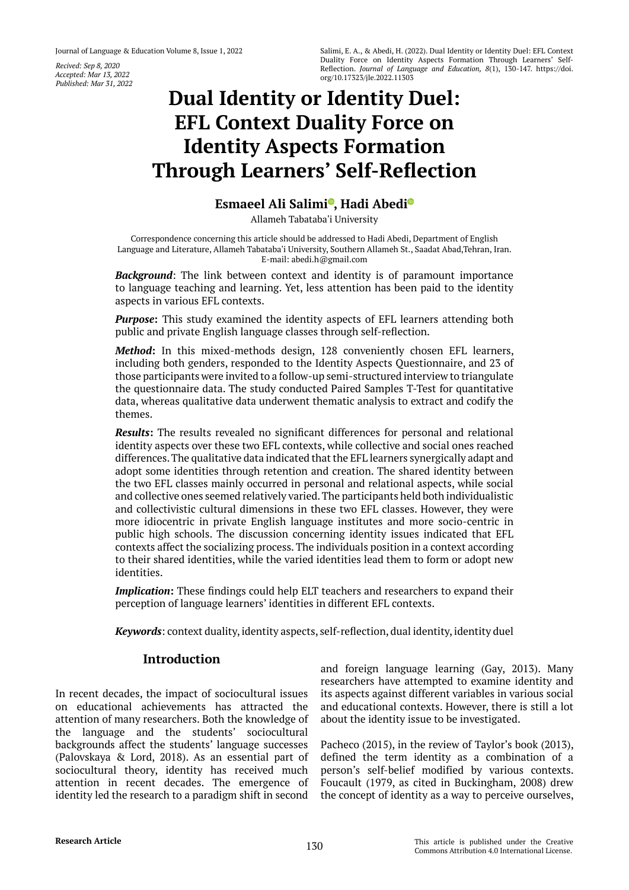*Recived: Sep 8, 2020 Accepted: Mar 13, 2022 Published: Mar 31, 2022*

# **Dual Identity or Identity Duel: EFL Context Duality Force on Identity Aspects Formation Through Learners' Self-Reflection**

# **Esmaeel Ali Salim[i](https://orcid.org/0000-0001-5432-9547) , Hadi Abed[i](https://orcid.org/0000-0002-6922-2029)**

Allameh Tabataba'i University

Correspondence concerning this article should be addressed to Hadi Abedi, Department of English Language and Literature, Allameh Tabataba'i University, Southern Allameh St., Saadat Abad,Tehran, Iran. E-mail: abedi.h@gmail.com

*Background*: The link between context and identity is of paramount importance to language teaching and learning. Yet, less attention has been paid to the identity aspects in various EFL contexts.

*Purpose***:** This study examined the identity aspects of EFL learners attending both public and private English language classes through self-reflection.

*Method***:** In this mixed-methods design, 128 conveniently chosen EFL learners, including both genders, responded to the Identity Aspects Questionnaire, and 23 of those participants were invited to a follow-up semi-structured interview to triangulate the questionnaire data. The study conducted Paired Samples T-Test for quantitative data, whereas qualitative data underwent thematic analysis to extract and codify the themes.

*Results***:** The results revealed no significant differences for personal and relational identity aspects over these two EFL contexts, while collective and social ones reached differences. The qualitative data indicated that the EFL learners synergically adapt and adopt some identities through retention and creation. The shared identity between the two EFL classes mainly occurred in personal and relational aspects, while social and collective ones seemed relatively varied. The participants held both individualistic and collectivistic cultural dimensions in these two EFL classes. However, they were more idiocentric in private English language institutes and more socio-centric in public high schools. The discussion concerning identity issues indicated that EFL contexts affect the socializing process. The individuals position in a context according to their shared identities, while the varied identities lead them to form or adopt new identities.

*Implication*: These findings could help ELT teachers and researchers to expand their perception of language learners' identities in different EFL contexts.

*Keywords*: context duality, identity aspects, self-reflection, dual identity, identity duel

# **Introduction**

In recent decades, the impact of sociocultural issues on educational achievements has attracted the attention of many researchers. Both the knowledge of the language and the students' sociocultural backgrounds affect the students' language successes (Palovskaya & Lord, 2018). As an essential part of sociocultural theory, identity has received much attention in recent decades. The emergence of identity led the research to a paradigm shift in second and foreign language learning (Gay, 2013). Many researchers have attempted to examine identity and its aspects against different variables in various social and educational contexts. However, there is still a lot about the identity issue to be investigated.

Pacheco (2015), in the review of Taylor's book (2013), defined the term identity as a combination of a person's self-belief modified by various contexts. Foucault (1979, as cited in Buckingham, 2008) drew the concept of identity as a way to perceive ourselves,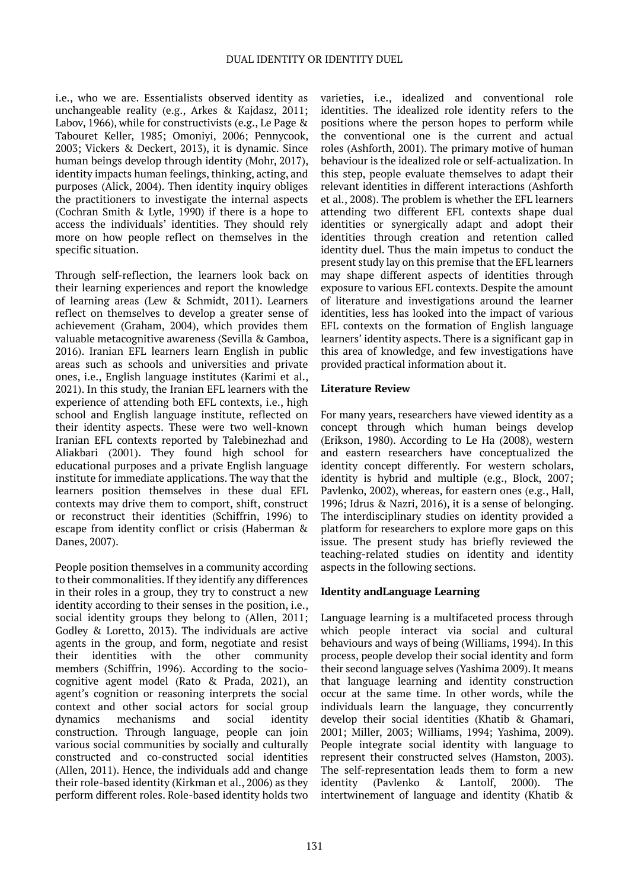i.e., who we are. Essentialists observed identity as unchangeable reality (e.g., Arkes & Kajdasz, 2011; Labov, 1966), while for constructivists (e.g., Le Page & Tabouret Keller, 1985; Omoniyi, 2006; Pennycook, 2003; Vickers & Deckert, 2013), it is dynamic. Since human beings develop through identity (Mohr, 2017), identity impacts human feelings, thinking, acting, and purposes (Alick, 2004). Then identity inquiry obliges the practitioners to investigate the internal aspects (Cochran Smith & Lytle, 1990) if there is a hope to access the individuals' identities. They should rely more on how people reflect on themselves in the specific situation.

Through self-reflection, the learners look back on their learning experiences and report the knowledge of learning areas (Lew & Schmidt, 2011). Learners reflect on themselves to develop a greater sense of achievement (Graham, 2004), which provides them valuable metacognitive awareness (Sevilla & Gamboa, 2016). Iranian EFL learners learn English in public areas such as schools and universities and private ones, i.e., English language institutes (Karimi et al., 2021). In this study, the Iranian EFL learners with the experience of attending both EFL contexts, i.e., high school and English language institute, reflected on their identity aspects. These were two well-known Iranian EFL contexts reported by Talebinezhad and Aliakbari (2001). They found high school for educational purposes and a private English language institute for immediate applications. The way that the learners position themselves in these dual EFL contexts may drive them to comport, shift, construct or reconstruct their identities (Schiffrin, 1996) to escape from identity conflict or crisis (Haberman & Danes, 2007).

People position themselves in a community according to their commonalities. If they identify any differences in their roles in a group, they try to construct a new identity according to their senses in the position, i.e., social identity groups they belong to (Allen, 2011; Godley & Loretto, 2013). The individuals are active agents in the group, and form, negotiate and resist their identities with the other community members (Schiffrin, 1996). According to the sociocognitive agent model (Rato & Prada, 2021), an agent's cognition or reasoning interprets the social context and other social actors for social group dynamics mechanisms and social identity construction. Through language, people can join various social communities by socially and culturally constructed and co-constructed social identities (Allen, 2011). Hence, the individuals add and change their role-based identity (Kirkman et al., 2006) as they perform different roles. Role-based identity holds two

varieties, i.e., idealized and conventional role identities. The idealized role identity refers to the positions where the person hopes to perform while the conventional one is the current and actual roles (Ashforth, 2001). The primary motive of human behaviour is the idealized role or self-actualization. In this step, people evaluate themselves to adapt their relevant identities in different interactions (Ashforth et al., 2008). The problem is whether the EFL learners attending two different EFL contexts shape dual identities or synergically adapt and adopt their identities through creation and retention called identity duel. Thus the main impetus to conduct the present study lay on this premise that the EFL learners may shape different aspects of identities through exposure to various EFL contexts. Despite the amount of literature and investigations around the learner identities, less has looked into the impact of various EFL contexts on the formation of English language learners' identity aspects. There is a significant gap in this area of knowledge, and few investigations have provided practical information about it.

#### **Literature Review**

For many years, researchers have viewed identity as a concept through which human beings develop (Erikson, 1980). According to Le Ha (2008), western and eastern researchers have conceptualized the identity concept differently. For western scholars, identity is hybrid and multiple (e.g., Block, 2007; Pavlenko, 2002), whereas, for eastern ones (e.g., Hall, 1996; Idrus & Nazri, 2016), it is a sense of belonging. The interdisciplinary studies on identity provided a platform for researchers to explore more gaps on this issue. The present study has briefly reviewed the teaching-related studies on identity and identity aspects in the following sections.

# **Identity andLanguage Learning**

Language learning is a multifaceted process through which people interact via social and cultural behaviours and ways of being (Williams, 1994). In this process, people develop their social identity and form their second language selves (Yashima 2009). It means that language learning and identity construction occur at the same time. In other words, while the individuals learn the language, they concurrently develop their social identities (Khatib & Ghamari, 2001; Miller, 2003; Williams, 1994; Yashima, 2009). People integrate social identity with language to represent their constructed selves (Hamston, 2003). The self-representation leads them to form a new identity (Pavlenko & Lantolf, 2000). The intertwinement of language and identity (Khatib &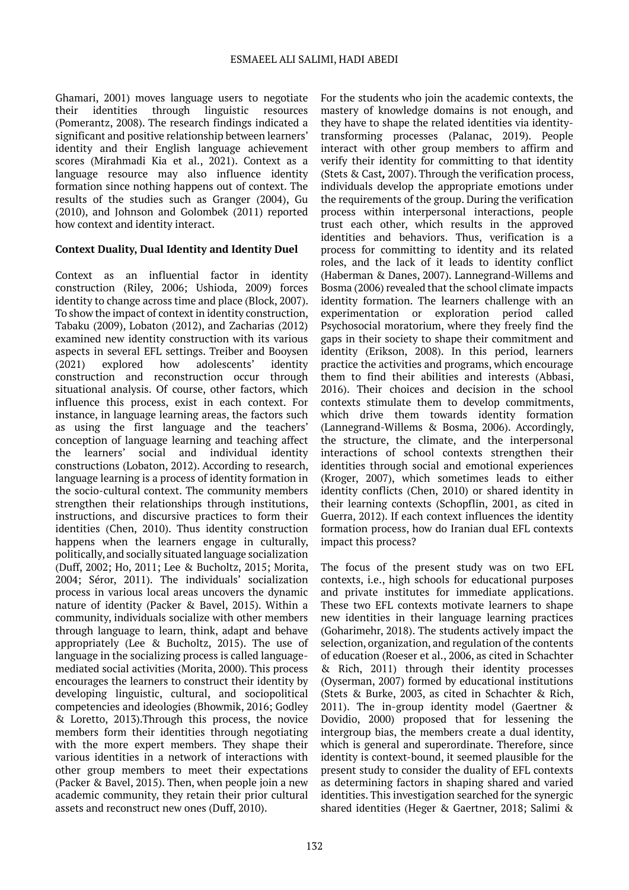Ghamari, 2001) moves language users to negotiate their identities through linguistic resources (Pomerantz, 2008). The research findings indicated a significant and positive relationship between learners' identity and their English language achievement scores (Mirahmadi Kia et al., 2021). Context as a language resource may also influence identity formation since nothing happens out of context. The results of the studies such as Granger (2004), Gu (2010), and Johnson and Golombek (2011) reported how context and identity interact.

# **Context Duality, Dual Identity and Identity Duel**

Context as an influential factor in identity construction (Riley, 2006; Ushioda, 2009) forces identity to change across time and place (Block, 2007). To show the impact of context in identity construction, Tabaku (2009), Lobaton (2012), and Zacharias (2012) examined new identity construction with its various aspects in several EFL settings. Treiber and Booysen (2021) explored how adolescents' identity construction and reconstruction occur through situational analysis. Of course, other factors, which influence this process, exist in each context. For instance, in language learning areas, the factors such as using the first language and the teachers' conception of language learning and teaching affect the learners' social and individual identity constructions (Lobaton, 2012). According to research, language learning is a process of identity formation in the socio-cultural context. The community members strengthen their relationships through institutions, instructions, and discursive practices to form their identities (Chen, 2010). Thus identity construction happens when the learners engage in culturally, politically, and socially situated language socialization (Duff, 2002; Ho, 2011; Lee & Bucholtz, 2015; Morita, 2004; Séror, 2011). The individuals' socialization process in various local areas uncovers the dynamic nature of identity (Packer & Bavel, 2015). Within a community, individuals socialize with other members through language to learn, think, adapt and behave appropriately (Lee & Bucholtz, 2015). The use of language in the socializing process is called languagemediated social activities (Morita, 2000). This process encourages the learners to construct their identity by developing linguistic, cultural, and sociopolitical competencies and ideologies (Bhowmik, 2016; Godley & Loretto, 2013).Through this process, the novice members form their identities through negotiating with the more expert members. They shape their various identities in a network of interactions with other group members to meet their expectations (Packer & Bavel, 2015). Then, when people join a new academic community, they retain their prior cultural assets and reconstruct new ones (Duff, 2010).

For the students who join the academic contexts, the mastery of knowledge domains is not enough, and they have to shape the related identities via identitytransforming processes (Palanac, 2019). People interact with other group members to affirm and verify their identity for committing to that identity (Stets & Cast*,* 2007). Through the verification process, individuals develop the appropriate emotions under the requirements of the group. During the verification process within interpersonal interactions, people trust each other, which results in the approved identities and behaviors. Thus, verification is a process for committing to identity and its related roles, and the lack of it leads to identity conflict (Haberman & Danes, 2007). Lannegrand-Willems and Bosma (2006) revealed that the school climate impacts identity formation. The learners challenge with an experimentation or exploration period called Psychosocial moratorium, where they freely find the gaps in their society to shape their commitment and identity (Erikson, 2008). In this period, learners practice the activities and programs, which encourage them to find their abilities and interests (Abbasi, 2016). Their choices and decision in the school contexts stimulate them to develop commitments, which drive them towards identity formation (Lannegrand-Willems & Bosma, 2006). Accordingly, the structure, the climate, and the interpersonal interactions of school contexts strengthen their identities through social and emotional experiences (Kroger, 2007), which sometimes leads to either identity conflicts (Chen, 2010) or shared identity in their learning contexts (Schopflin, 2001, as cited in Guerra, 2012). If each context influences the identity formation process, how do Iranian dual EFL contexts impact this process?

The focus of the present study was on two EFL contexts, i.e., high schools for educational purposes and private institutes for immediate applications. These two EFL contexts motivate learners to shape new identities in their language learning practices (Goharimehr, 2018). The students actively impact the selection, organization, and regulation of the contents of education (Roeser et al., 2006, as cited in Schachter & Rich, 2011) through their identity processes (Oyserman, 2007) formed by educational institutions (Stets & Burke, 2003, as cited in Schachter & Rich, 2011). The in-group identity model (Gaertner & Dovidio, 2000) proposed that for lessening the intergroup bias, the members create a dual identity, which is general and superordinate. Therefore, since identity is context-bound, it seemed plausible for the present study to consider the duality of EFL contexts as determining factors in shaping shared and varied identities. This investigation searched for the synergic shared identities (Heger & Gaertner, 2018; Salimi &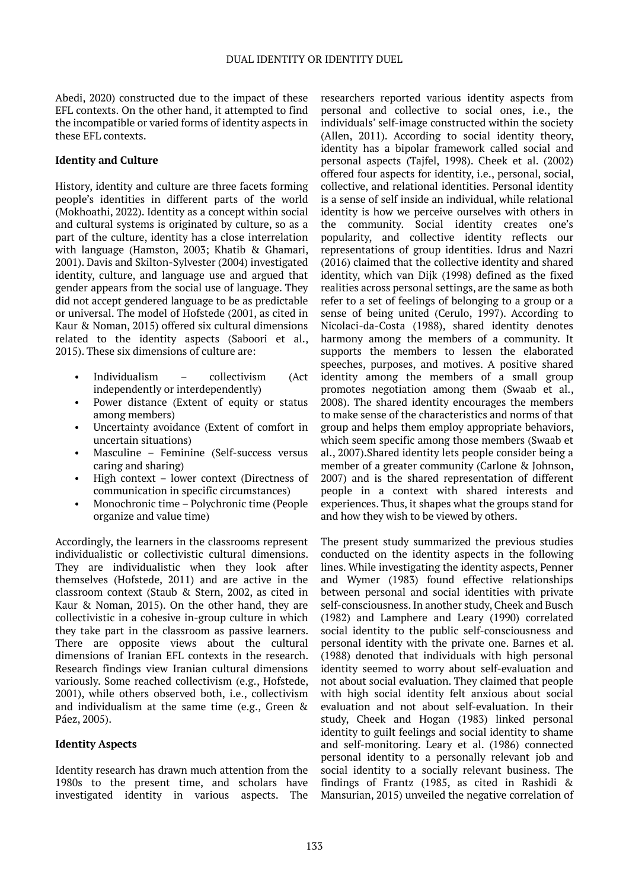Abedi, 2020) constructed due to the impact of these EFL contexts. On the other hand, it attempted to find the incompatible or varied forms of identity aspects in these EFL contexts.

# **Identity and Culture**

History, identity and culture are three facets forming people's identities in different parts of the world ([Mokhoathi](https://journals.sagepub.com/action/doSearch?target=default&ContribAuthorStored=Mokhoathi%2C+Joel), 2022). Identity as a concept within social and cultural systems is originated by culture, so as a part of the culture, identity has a close interrelation with language (Hamston, 2003; Khatib & Ghamari, 2001). Davis and Skilton-Sylvester (2004) investigated identity, culture, and language use and argued that gender appears from the social use of language. They did not accept gendered language to be as predictable or universal. The model of Hofstede (2001, as cited in Kaur & Noman, 2015) offered six cultural dimensions related to the identity aspects (Saboori et al., 2015). These six dimensions of culture are:

- Individualism collectivism (Act independently or interdependently)
- Power distance (Extent of equity or status among members)
- Uncertainty avoidance (Extent of comfort in uncertain situations)
- Masculine Feminine (Self-success versus caring and sharing)
- High context lower context (Directness of communication in specific circumstances)
- Monochronic time Polychronic time (People organize and value time)

Accordingly, the learners in the classrooms represent individualistic or collectivistic cultural dimensions. They are individualistic when they look after themselves (Hofstede, 2011) and are active in the classroom context (Staub & Stern, 2002, as cited in Kaur & Noman, 2015). On the other hand, they are collectivistic in a cohesive in-group culture in which they take part in the classroom as passive learners. There are opposite views about the cultural dimensions of Iranian EFL contexts in the research. Research findings view Iranian cultural dimensions variously. Some reached collectivism (e.g., Hofstede, 2001), while others observed both, i.e., collectivism and individualism at the same time (e.g., Green & Páez, 2005).

#### **Identity Aspects**

Identity research has drawn much attention from the 1980s to the present time, and scholars have investigated identity in various aspects. The

researchers reported various identity aspects from personal and collective to social ones, i.e., the individuals' self-image constructed within the society (Allen, 2011). According to social identity theory, identity has a bipolar framework called social and personal aspects (Tajfel, 1998). Cheek et al. (2002) offered four aspects for identity, i.e., personal, social, collective, and relational identities. Personal identity is a sense of self inside an individual, while relational identity is how we perceive ourselves with others in the community. Social identity creates one's popularity, and collective identity reflects our representations of group identities. Idrus and Nazri (2016) claimed that the collective identity and shared identity, which van Dijk (1998) defined as the fixed realities across personal settings, are the same as both refer to a set of feelings of belonging to a group or a sense of being united (Cerulo, 1997). According to Nicolaci-da-Costa (1988), shared identity denotes harmony among the members of a community. It supports the members to lessen the elaborated speeches, purposes, and motives. A positive shared identity among the members of a small group promotes negotiation among them (Swaab et al., 2008). The shared identity encourages the members to make sense of the characteristics and norms of that group and helps them employ appropriate behaviors, which seem specific among those members (Swaab et al., 2007).Shared identity lets people consider being a member of a greater community (Carlone & Johnson, 2007) and is the shared representation of different people in a context with shared interests and experiences. Thus, it shapes what the groups stand for and how they wish to be viewed by others.

The present study summarized the previous studies conducted on the identity aspects in the following lines. While investigating the identity aspects, Penner and Wymer (1983) found effective relationships between personal and social identities with private self-consciousness. In another study, Cheek and Busch (1982) and Lamphere and Leary (1990) correlated social identity to the public self-consciousness and personal identity with the private one. Barnes et al. (1988) denoted that individuals with high personal identity seemed to worry about self-evaluation and not about social evaluation. They claimed that people with high social identity felt anxious about social evaluation and not about self-evaluation. In their study, Cheek and Hogan (1983) linked personal identity to guilt feelings and social identity to shame and self-monitoring. Leary et al. (1986) connected personal identity to a personally relevant job and social identity to a socially relevant business. The findings of Frantz (1985, as cited in Rashidi & Mansurian, 2015) unveiled the negative correlation of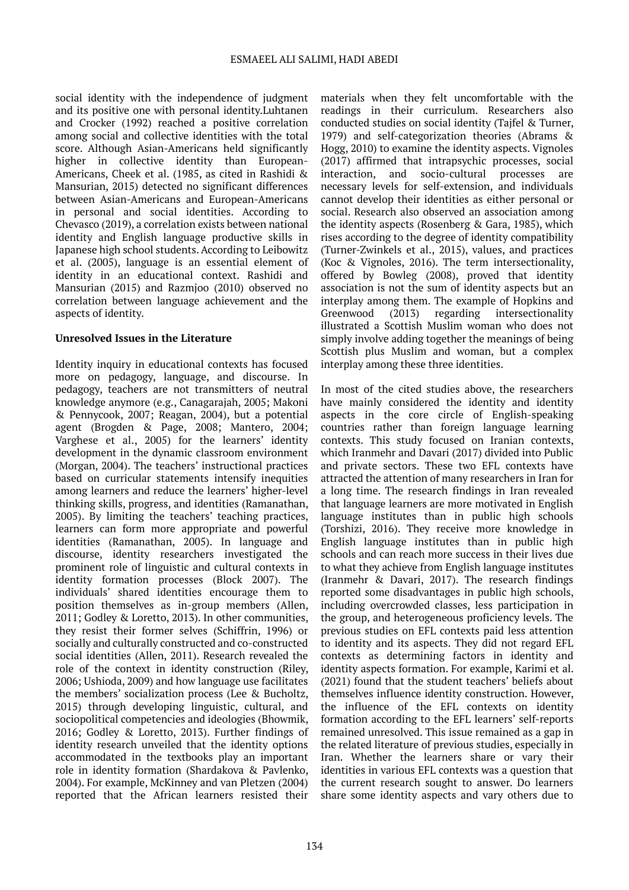social identity with the independence of judgment and its positive one with personal identity.Luhtanen and Crocker (1992) reached a positive correlation among social and collective identities with the total score. Although Asian-Americans held significantly higher in collective identity than European-Americans, Cheek et al. (1985, as cited in Rashidi & Mansurian, 2015) detected no significant differences between Asian-Americans and European-Americans in personal and social identities. According to Chevasco (2019), a correlation exists between national identity and English language productive skills in Japanese high school students. According to Leibowitz et al. (2005), language is an essential element of identity in an educational context. Rashidi and Mansurian (2015) and Razmjoo (2010) observed no correlation between language achievement and the aspects of identity.

#### **Unresolved Issues in the Literature**

Identity inquiry in educational contexts has focused more on pedagogy, language, and discourse. In pedagogy, teachers are not transmitters of neutral knowledge anymore (e.g., Canagarajah, 2005; Makoni & Pennycook, 2007; Reagan, 2004), but a potential agent (Brogden & Page, 2008; Mantero, 2004; Varghese et al., 2005) for the learners' identity development in the dynamic classroom environment (Morgan, 2004). The teachers' instructional practices based on curricular statements intensify inequities among learners and reduce the learners' higher-level thinking skills, progress, and identities (Ramanathan, 2005). By limiting the teachers' teaching practices, learners can form more appropriate and powerful identities (Ramanathan, 2005). In language and discourse, identity researchers investigated the prominent role of linguistic and cultural contexts in identity formation processes (Block 2007). The individuals' shared identities encourage them to position themselves as in-group members (Allen, 2011; Godley & Loretto, 2013). In other communities, they resist their former selves (Schiffrin, 1996) or socially and culturally constructed and co-constructed social identities (Allen, 2011). Research revealed the role of the context in identity construction (Riley, 2006; Ushioda, 2009) and how language use facilitates the members' socialization process (Lee & Bucholtz, 2015) through developing linguistic, cultural, and sociopolitical competencies and ideologies (Bhowmik, 2016; Godley & Loretto, 2013). Further findings of identity research unveiled that the identity options accommodated in the textbooks play an important role in identity formation (Shardakova & Pavlenko, 2004). For example, McKinney and van Pletzen (2004) reported that the African learners resisted their

materials when they felt uncomfortable with the readings in their curriculum. Researchers also conducted studies on social identity (Tajfel & Turner, 1979) and self-categorization theories (Abrams & Hogg, 2010) to examine the identity aspects. Vignoles (2017) affirmed that intrapsychic processes, social interaction, and socio-cultural processes are necessary levels for self-extension, and individuals cannot develop their identities as either personal or social. Research also observed an association among the identity aspects (Rosenberg & Gara, 1985), which rises according to the degree of identity compatibility (Turner-Zwinkels et al., 2015), values, and practices (Koc & Vignoles, 2016). The term intersectionality, offered by Bowleg (2008), proved that identity association is not the sum of identity aspects but an interplay among them. The example of Hopkins and Greenwood (2013) regarding intersectionality illustrated a Scottish Muslim woman who does not simply involve adding together the meanings of being Scottish plus Muslim and woman, but a complex interplay among these three identities.

In most of the cited studies above, the researchers have mainly considered the identity and identity aspects in the core circle of English-speaking countries rather than foreign language learning contexts. This study focused on Iranian contexts, which Iranmehr and Davari (2017) divided into Public and private sectors. These two EFL contexts have attracted the attention of many researchers in Iran for a long time. The research findings in Iran revealed that language learners are more motivated in English language institutes than in public high schools (Torshizi, 2016). They receive more knowledge in English language institutes than in public high schools and can reach more success in their lives due to what they achieve from English language institutes (Iranmehr & Davari, 2017). The research findings reported some disadvantages in public high schools, including overcrowded classes, less participation in the group, and heterogeneous proficiency levels. The previous studies on EFL contexts paid less attention to identity and its aspects. They did not regard EFL contexts as determining factors in identity and identity aspects formation. For example, Karimi et al. (2021) found that the student teachers' beliefs about themselves influence identity construction. However, the influence of the EFL contexts on identity formation according to the EFL learners' self-reports remained unresolved. This issue remained as a gap in the related literature of previous studies, especially in Iran. Whether the learners share or vary their identities in various EFL contexts was a question that the current research sought to answer. Do learners share some identity aspects and vary others due to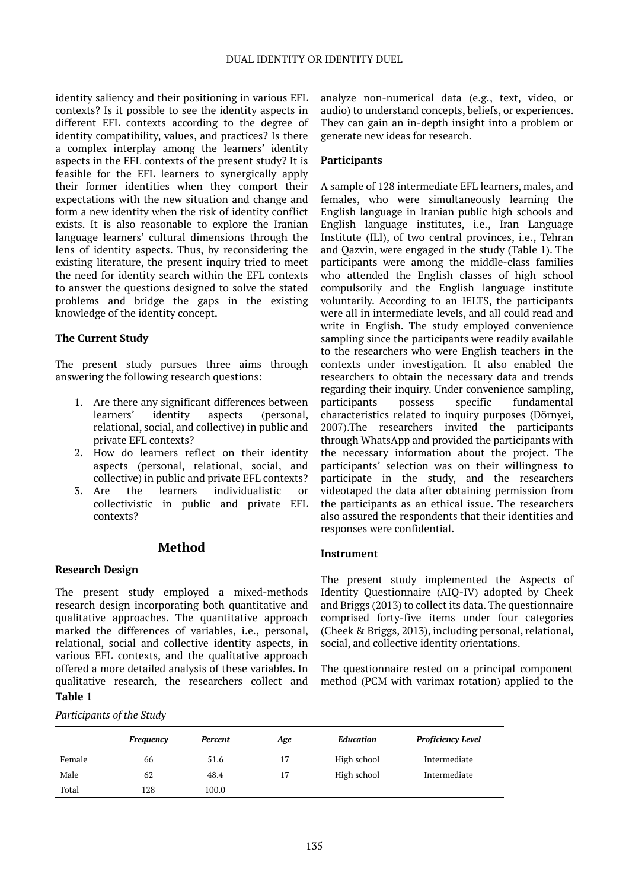identity saliency and their positioning in various EFL contexts? Is it possible to see the identity aspects in different EFL contexts according to the degree of identity compatibility, values, and practices? Is there a complex interplay among the learners' identity aspects in the EFL contexts of the present study? It is feasible for the EFL learners to synergically apply their former identities when they comport their expectations with the new situation and change and form a new identity when the risk of identity conflict exists. It is also reasonable to explore the Iranian language learners' cultural dimensions through the lens of identity aspects. Thus, by reconsidering the existing literature, the present inquiry tried to meet the need for identity search within the EFL contexts to answer the questions designed to solve the stated problems and bridge the gaps in the existing knowledge of the identity concept**.**

# **The Current Study**

The present study pursues three aims through answering the following research questions:

- 1. Are there any significant differences between learners' identity aspects (personal, relational, social, and collective) in public and private EFL contexts?
- 2. How do learners reflect on their identity aspects (personal, relational, social, and collective) in public and private EFL contexts?<br>3. Are the learners individualistic or
- the learners individualistic or collectivistic in public and private EFL contexts?

# **Method**

# **Research Design**

The present study employed a mixed-methods research design incorporating both quantitative and qualitative approaches. The quantitative approach marked the differences of variables, i.e., personal, relational, social and collective identity aspects, in various EFL contexts, and the qualitative approach offered a more detailed analysis of these variables. In qualitative research, the researchers collect and

# **Table 1**

# *Participants of the Study*

analyze non-numerical data (e.g., text, video, or audio) to understand concepts, beliefs, or experiences. They can gain an in-depth insight into a problem or generate new ideas for research.

## **Participants**

A sample of 128 intermediate EFL learners, males, and females, who were simultaneously learning the English language in Iranian public high schools and English language institutes, i.e., Iran Language Institute (ILI), of two central provinces, i.e., Tehran and Qazvin, were engaged in the study (Table 1). The participants were among the middle-class families who attended the English classes of high school compulsorily and the English language institute voluntarily. According to an IELTS, the participants were all in intermediate levels, and all could read and write in English. The study employed convenience sampling since the participants were readily available to the researchers who were English teachers in the contexts under investigation. It also enabled the researchers to obtain the necessary data and trends regarding their inquiry. Under convenience sampling, participants possess specific fundamental characteristics related to inquiry purposes (Dörnyei, 2007).The researchers invited the participants through WhatsApp and provided the participants with the necessary information about the project. The participants' selection was on their willingness to participate in the study, and the researchers videotaped the data after obtaining permission from the participants as an ethical issue. The researchers also assured the respondents that their identities and responses were confidential.

#### **Instrument**

The present study implemented the Aspects of Identity Questionnaire (AIQ-IV) adopted by Cheek and Briggs (2013) to collect its data. The questionnaire comprised forty-five items under four categories (Cheek & Briggs, 2013), including personal, relational, social, and collective identity orientations.

The questionnaire rested on a principal component method (PCM with varimax rotation) applied to the

|        | <b>Frequency</b> | <b>Percent</b> | Age | Education   | <b>Proficiency Level</b> |  |
|--------|------------------|----------------|-----|-------------|--------------------------|--|
| Female | 66               | 51.6           | 17  | High school | Intermediate             |  |
| Male   | 62               | 48.4           | 17  | High school | Intermediate             |  |
| Total  | 128              | 100.0          |     |             |                          |  |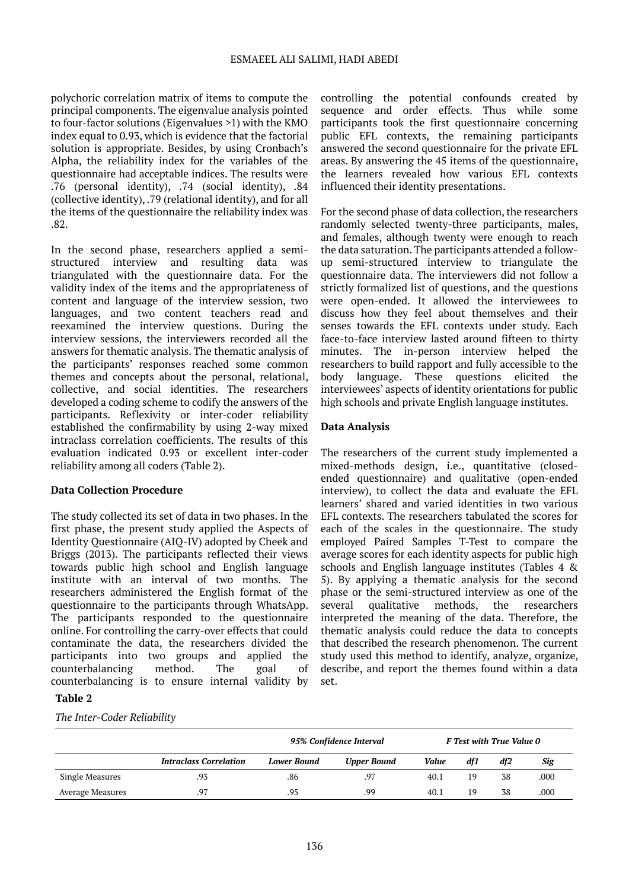#### ESMAEEL ALI SALIMI, HADI ABEDI

polychoric correlation matrix of items to compute the principal components. The eigenvalue analysis pointed to four-factor solutions (Eigenvalues >1) with the KMO index equal to 0.93, which is evidence that the factorial solution is appropriate. Besides, by using Cronbach's Alpha, the reliability index for the variables of the questionnaire had acceptable indices. The results were .76 (personal identity), .74 (social identity), .84 (collective identity), .79 (relational identity), and for all the items of the questionnaire the reliability index was .82.

In the second phase, researchers applied a semistructured interview and resulting data was triangulated with the questionnaire data. For the validity index of the items and the appropriateness of content and language of the interview session, two languages, and two content teachers read and reexamined the interview questions. During the interview sessions, the interviewers recorded all the answers for thematic analysis. The thematic analysis of the participants' responses reached some common themes and concepts about the personal, relational, collective, and social identities. The researchers developed a coding scheme to codify the answers of the participants. Reflexivity or inter-coder reliability established the confirmability by using 2-way mixed intraclass correlation coefficients. The results of this evaluation indicated 0.93 or excellent inter-coder reliability among all coders (Table 2).

# **Data Collection Procedure**

The study collected its set of data in two phases. In the first phase, the present study applied the Aspects of Identity Questionnaire (AIQ-IV) adopted by Cheek and Briggs (2013). The participants reflected their views towards public high school and English language institute with an interval of two months. The researchers administered the English format of the questionnaire to the participants through WhatsApp. The participants responded to the questionnaire online. For controlling the carry-over effects that could contaminate the data, the researchers divided the participants into two groups and applied the counterbalancing method. The goal of counterbalancing is to ensure internal validity by

# **Table 2**

#### *The Inter-Coder Reliability*

controlling the potential confounds created by sequence and order effects. Thus while some participants took the first questionnaire concerning public EFL contexts, the remaining participants answered the second questionnaire for the private EFL areas. By answering the 45 items of the questionnaire, the learners revealed how various EFL contexts influenced their identity presentations.

For the second phase of data collection, the researchers randomly selected twenty-three participants, males, and females, although twenty were enough to reach the data saturation. The participants attended a followup semi-structured interview to triangulate the questionnaire data. The interviewers did not follow a strictly formalized list of questions, and the questions were open-ended. It allowed the interviewees to discuss how they feel about themselves and their senses towards the EFL contexts under study. Each face-to-face interview lasted around fifteen to thirty minutes. The in-person interview helped the researchers to build rapport and fully accessible to the body language. These questions elicited the interviewees' aspects of identity orientations for public high schools and private English language institutes.

#### **Data Analysis**

The researchers of the current study implemented a mixed-methods design, i.e., quantitative (closedended questionnaire) and qualitative (open-ended interview), to collect the data and evaluate the EFL learners' shared and varied identities in two various EFL contexts. The researchers tabulated the scores for each of the scales in the questionnaire. The study employed Paired Samples T-Test to compare the average scores for each identity aspects for public high schools and English language institutes (Tables 4 & 5). By applying a thematic analysis for the second phase or the semi-structured interview as one of the several qualitative methods, the researchers interpreted the meaning of the data. Therefore, the thematic analysis could reduce the data to concepts that described the research phenomenon. The current study used this method to identify, analyze, organize, describe, and report the themes found within a data set.

|                  |                               | 95% Confidence Interval |                    |       | F Test with True Value 0 |     |      |
|------------------|-------------------------------|-------------------------|--------------------|-------|--------------------------|-----|------|
|                  | <b>Intraclass Correlation</b> | <b>Lower Bound</b>      | <b>Upper Bound</b> | Value | df1                      | df2 | Sig  |
| Single Measures  | .93                           | .86                     | .97                | 40.1  | 19                       | 38  | .000 |
| Average Measures | .97                           | .95                     | .99                | 40.1  | 19                       | 38  | .000 |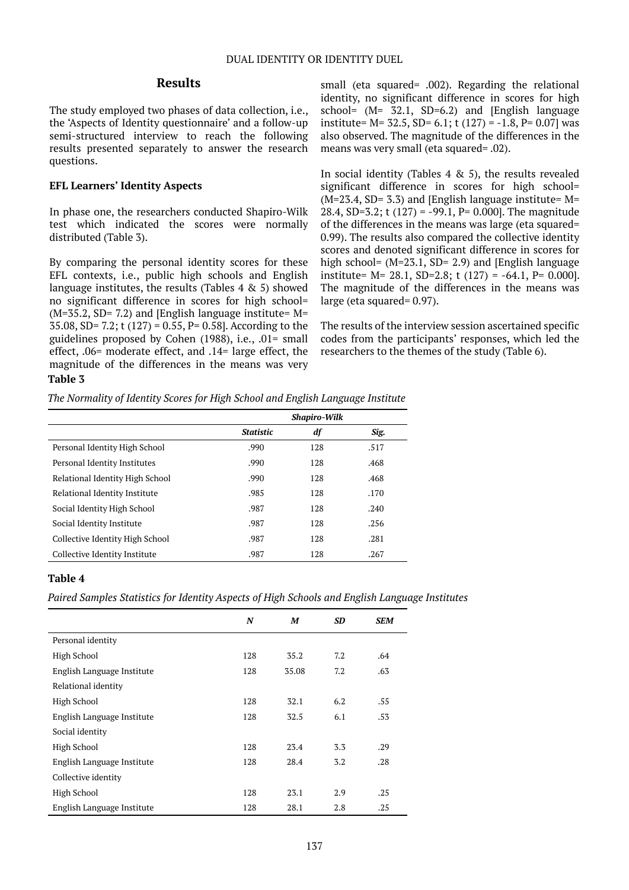# **Results**

The study employed two phases of data collection, i.e., the 'Aspects of Identity questionnaire' and a follow-up semi-structured interview to reach the following results presented separately to answer the research questions.

## **EFL Learners' Identity Aspects**

In phase one, the researchers conducted Shapiro-Wilk test which indicated the scores were normally distributed (Table 3).

By comparing the personal identity scores for these EFL contexts, i.e., public high schools and English language institutes, the results (Tables 4 & 5) showed no significant difference in scores for high school=  $(M=35.2, SD= 7.2)$  and [English language institute=  $M=$ 35.08, SD= 7.2; t (127) = 0.55, P= 0.58]. According to the guidelines proposed by Cohen (1988), i.e., .01= small effect, .06= moderate effect, and .14= large effect, the magnitude of the differences in the means was very small (eta squared= .002). Regarding the relational identity, no significant difference in scores for high school=  $(M= 32.1, SD=6.2)$  and [English language institute=  $M = 32.5$ ,  $SD = 6.1$ ; t (127) = -1.8, P= 0.07] was also observed. The magnitude of the differences in the means was very small (eta squared= .02).

In social identity (Tables  $4 \& 5$ ), the results revealed significant difference in scores for high school=  $(M=23.4, SD= 3.3)$  and [English language institute= M= 28.4, SD=3.2; t (127) = -99.1, P= 0.000]. The magnitude of the differences in the means was large (eta squared= 0.99). The results also compared the collective identity scores and denoted significant difference in scores for high school=  $(M=23.1, SD= 2.9)$  and [English language institute=  $M = 28.1$ , SD=2.8; t (127) = -64.1, P= 0.000]. The magnitude of the differences in the means was large (eta squared= 0.97).

The results of the interview session ascertained specific codes from the participants' responses, which led the researchers to the themes of the study (Table 6).

# **Table 3**

*The Normality of Identity Scores for High School and English Language Institute*

| <b>Shapiro-Wilk</b> |     |      |  |  |
|---------------------|-----|------|--|--|
| <b>Statistic</b>    | df  | Sig. |  |  |
| .990                | 128 | .517 |  |  |
| .990                | 128 | .468 |  |  |
| .990                | 128 | .468 |  |  |
| .985                | 128 | .170 |  |  |
| .987                | 128 | .240 |  |  |
| .987                | 128 | .256 |  |  |
| .987                | 128 | .281 |  |  |
| .987                | 128 | .267 |  |  |
|                     |     |      |  |  |

# **Table 4**

*Paired Samples Statistics for Identity Aspects of High Schools and English Language Institutes*

|                            | N   | M     | <b>SD</b> | SEM |
|----------------------------|-----|-------|-----------|-----|
| Personal identity          |     |       |           |     |
| High School                | 128 | 35.2  | 7.2       | .64 |
| English Language Institute | 128 | 35.08 | 7.2       | .63 |
| Relational identity        |     |       |           |     |
| High School                | 128 | 32.1  | 6.2       | .55 |
| English Language Institute | 128 | 32.5  | 6.1       | .53 |
| Social identity            |     |       |           |     |
| High School                | 128 | 23.4  | 3.3       | .29 |
| English Language Institute | 128 | 28.4  | 3.2       | .28 |
| Collective identity        |     |       |           |     |
| High School                | 128 | 23.1  | 2.9       | .25 |
| English Language Institute | 128 | 28.1  | 2.8       | .25 |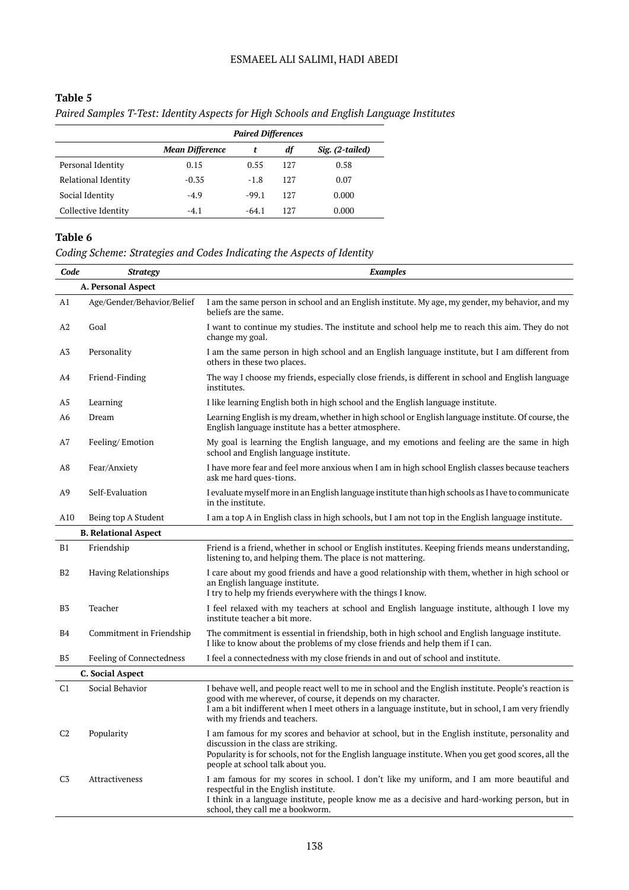# ESMAEEL ALI SALIMI, HADI ABEDI

# **Table 5**

| Paired Samples T-Test: Identity Aspects for High Schools and English Language Institutes |  |  |
|------------------------------------------------------------------------------------------|--|--|
|                                                                                          |  |  |

|                     | <b>Paired Differences</b> |         |     |                 |  |  |
|---------------------|---------------------------|---------|-----|-----------------|--|--|
|                     | <b>Mean Difference</b>    |         | df  | Sig. (2-tailed) |  |  |
| Personal Identity   | 0.15                      | 0.55    | 127 | 0.58            |  |  |
| Relational Identity | $-0.35$                   | $-1.8$  | 127 | 0.07            |  |  |
| Social Identity     | $-4.9$                    | $-99.1$ | 127 | 0.000           |  |  |
| Collective Identity | $-4.1$                    | $-64.1$ | 127 | 0.000           |  |  |

# **Table 6**

*Coding Scheme: Strategies and Codes Indicating the Aspects of Identity*

| Code           | <b>Strategy</b>                 | <b>Examples</b>                                                                                                                                                                                                                                                                                                |  |
|----------------|---------------------------------|----------------------------------------------------------------------------------------------------------------------------------------------------------------------------------------------------------------------------------------------------------------------------------------------------------------|--|
|                | A. Personal Aspect              |                                                                                                                                                                                                                                                                                                                |  |
| A1             | Age/Gender/Behavior/Belief      | I am the same person in school and an English institute. My age, my gender, my behavior, and my<br>beliefs are the same.                                                                                                                                                                                       |  |
| A2             | Goal                            | I want to continue my studies. The institute and school help me to reach this aim. They do not<br>change my goal.                                                                                                                                                                                              |  |
| A3             | Personality                     | I am the same person in high school and an English language institute, but I am different from<br>others in these two places.                                                                                                                                                                                  |  |
| A4             | Friend-Finding                  | The way I choose my friends, especially close friends, is different in school and English language<br>institutes.                                                                                                                                                                                              |  |
| A5             | Learning                        | I like learning English both in high school and the English language institute.                                                                                                                                                                                                                                |  |
| A6             | Dream                           | Learning English is my dream, whether in high school or English language institute. Of course, the<br>English language institute has a better atmosphere.                                                                                                                                                      |  |
| A7             | Feeling/Emotion                 | My goal is learning the English language, and my emotions and feeling are the same in high<br>school and English language institute.                                                                                                                                                                           |  |
| A8             | Fear/Anxiety                    | I have more fear and feel more anxious when I am in high school English classes because teachers<br>ask me hard ques-tions.                                                                                                                                                                                    |  |
| A <sub>9</sub> | Self-Evaluation                 | I evaluate myself more in an English language institute than high schools as I have to communicate<br>in the institute.                                                                                                                                                                                        |  |
| A10            | Being top A Student             | I am a top A in English class in high schools, but I am not top in the English language institute.                                                                                                                                                                                                             |  |
|                | <b>B. Relational Aspect</b>     |                                                                                                                                                                                                                                                                                                                |  |
| B1             | Friendship                      | Friend is a friend, whether in school or English institutes. Keeping friends means understanding,<br>listening to, and helping them. The place is not mattering.                                                                                                                                               |  |
| B <sub>2</sub> | Having Relationships            | I care about my good friends and have a good relationship with them, whether in high school or<br>an English language institute.<br>I try to help my friends everywhere with the things I know.                                                                                                                |  |
| B <sub>3</sub> | Teacher                         | I feel relaxed with my teachers at school and English language institute, although I love my<br>institute teacher a bit more.                                                                                                                                                                                  |  |
| B4             | Commitment in Friendship        | The commitment is essential in friendship, both in high school and English language institute.<br>I like to know about the problems of my close friends and help them if I can.                                                                                                                                |  |
| B <sub>5</sub> | <b>Feeling of Connectedness</b> | I feel a connectedness with my close friends in and out of school and institute.                                                                                                                                                                                                                               |  |
|                | <b>C. Social Aspect</b>         |                                                                                                                                                                                                                                                                                                                |  |
| C <sub>1</sub> | Social Behavior                 | I behave well, and people react well to me in school and the English institute. People's reaction is<br>good with me wherever, of course, it depends on my character.<br>I am a bit indifferent when I meet others in a language institute, but in school, I am very friendly<br>with my friends and teachers. |  |
| C <sub>2</sub> | Popularity                      | I am famous for my scores and behavior at school, but in the English institute, personality and<br>discussion in the class are striking.<br>Popularity is for schools, not for the English language institute. When you get good scores, all the<br>people at school talk about you.                           |  |
| C <sub>3</sub> | Attractiveness                  | I am famous for my scores in school. I don't like my uniform, and I am more beautiful and<br>respectful in the English institute.<br>I think in a language institute, people know me as a decisive and hard-working person, but in<br>school, they call me a bookworm.                                         |  |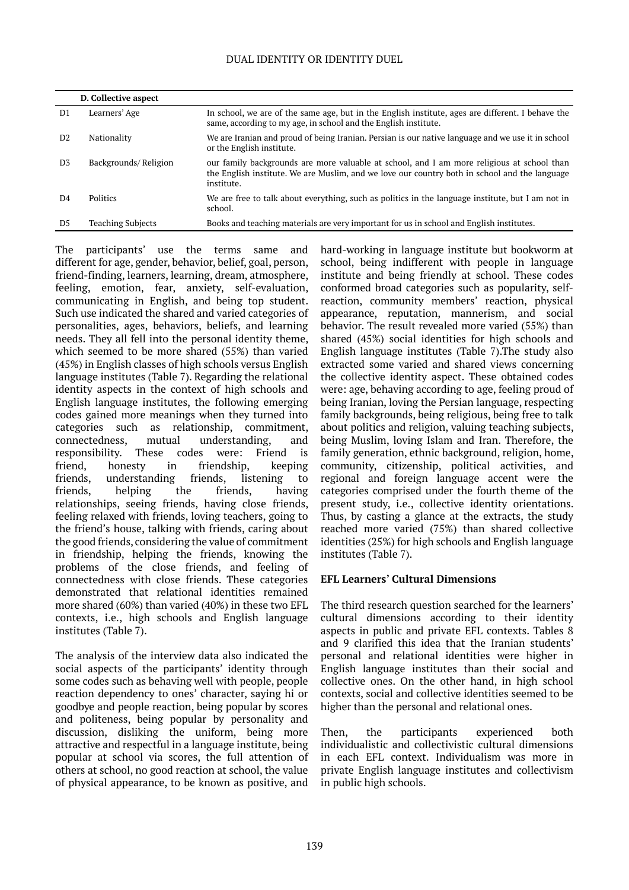# DUAL IDENTITY OR IDENTITY DUEL

|                | D. Collective aspect     |                                                                                                                                                                                                           |
|----------------|--------------------------|-----------------------------------------------------------------------------------------------------------------------------------------------------------------------------------------------------------|
| D1             | Learners' Age            | In school, we are of the same age, but in the English institute, ages are different. I behave the<br>same, according to my age, in school and the English institute.                                      |
| D <sub>2</sub> | Nationality              | We are Iranian and proud of being Iranian. Persian is our native language and we use it in school<br>or the English institute.                                                                            |
| D <sub>3</sub> | Backgrounds/Religion     | our family backgrounds are more valuable at school, and I am more religious at school than<br>the English institute. We are Muslim, and we love our country both in school and the language<br>institute. |
| D <sub>4</sub> | <b>Politics</b>          | We are free to talk about everything, such as politics in the language institute, but I am not in<br>school.                                                                                              |
| D5             | <b>Teaching Subjects</b> | Books and teaching materials are very important for us in school and English institutes.                                                                                                                  |

The participants' use the terms same and different for age, gender, behavior, belief, goal, person, friend-finding, learners, learning, dream, atmosphere, feeling, emotion, fear, anxiety, self-evaluation, communicating in English, and being top student. Such use indicated the shared and varied categories of personalities, ages, behaviors, beliefs, and learning needs. They all fell into the personal identity theme, which seemed to be more shared (55%) than varied (45%) in English classes of high schools versus English language institutes (Table 7). Regarding the relational identity aspects in the context of high schools and English language institutes, the following emerging codes gained more meanings when they turned into categories such as relationship, commitment, connectedness, mutual understanding, and responsibility. These codes were: Friend is friend, honesty in friendship, keeping friends, understanding friends, listening to friends, helping the friends, having relationships, seeing friends, having close friends, feeling relaxed with friends, loving teachers, going to the friend's house, talking with friends, caring about the good friends, considering the value of commitment in friendship, helping the friends, knowing the problems of the close friends, and feeling of connectedness with close friends. These categories demonstrated that relational identities remained more shared (60%) than varied (40%) in these two EFL contexts, i.e., high schools and English language institutes (Table 7).

The analysis of the interview data also indicated the social aspects of the participants' identity through some codes such as behaving well with people, people reaction dependency to ones' character, saying hi or goodbye and people reaction, being popular by scores and politeness, being popular by personality and discussion, disliking the uniform, being more attractive and respectful in a language institute, being popular at school via scores, the full attention of others at school, no good reaction at school, the value of physical appearance, to be known as positive, and

hard-working in language institute but bookworm at school, being indifferent with people in language institute and being friendly at school. These codes conformed broad categories such as popularity, selfreaction, community members' reaction, physical appearance, reputation, mannerism, and social behavior. The result revealed more varied (55%) than shared (45%) social identities for high schools and English language institutes (Table 7).The study also extracted some varied and shared views concerning the collective identity aspect. These obtained codes were: age, behaving according to age, feeling proud of being Iranian, loving the Persian language, respecting family backgrounds, being religious, being free to talk about politics and religion, valuing teaching subjects, being Muslim, loving Islam and Iran. Therefore, the family generation, ethnic background, religion, home, community, citizenship, political activities, and regional and foreign language accent were the categories comprised under the fourth theme of the present study, i.e., collective identity orientations. Thus, by casting a glance at the extracts, the study reached more varied (75%) than shared collective identities (25%) for high schools and English language institutes (Table 7).

# **EFL Learners' Cultural Dimensions**

The third research question searched for the learners' cultural dimensions according to their identity aspects in public and private EFL contexts. Tables 8 and 9 clarified this idea that the Iranian students' personal and relational identities were higher in English language institutes than their social and collective ones. On the other hand, in high school contexts, social and collective identities seemed to be higher than the personal and relational ones.

Then, the participants experienced both individualistic and collectivistic cultural dimensions in each EFL context. Individualism was more in private English language institutes and collectivism in public high schools.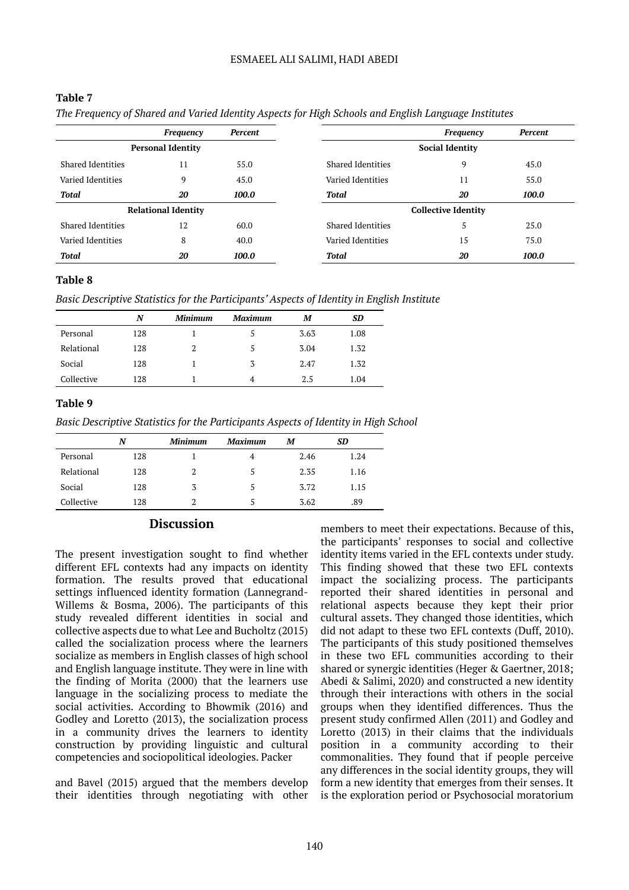## ESMAEEL ALI SALIMI, HADI ABEDI

|                          | Frequency                  | Percent |                          | Frequency                  | Percent |
|--------------------------|----------------------------|---------|--------------------------|----------------------------|---------|
|                          | <b>Personal Identity</b>   |         |                          | <b>Social Identity</b>     |         |
| <b>Shared Identities</b> | 11                         | 55.0    | <b>Shared Identities</b> | 9                          | 45.0    |
| Varied Identities        | 9                          | 45.0    | Varied Identities        | 11                         | 55.0    |
| Total                    | 20                         | 100.0   | Total                    | 20                         | 100.0   |
|                          | <b>Relational Identity</b> |         |                          | <b>Collective Identity</b> |         |
| Shared Identities        | 12                         | 60.0    | <b>Shared Identities</b> | 5                          | 25.0    |
| Varied Identities        | 8                          | 40.0    | Varied Identities        | 15                         | 75.0    |
| <b>Total</b>             | 20                         | 100.0   | Total                    | 20                         | 100.0   |

#### **Table 7**

# **Table 8**

*Basic Descriptive Statistics for the Participants' Aspects of Identity in English Institute*

|            | N   | <b>Minimum</b> | <b>Maximum</b> | М    | SD.  |
|------------|-----|----------------|----------------|------|------|
| Personal   | 128 |                |                | 3.63 | 1.08 |
| Relational | 128 |                | 5              | 3.04 | 1.32 |
| Social     | 128 |                | 3              | 2.47 | 1.32 |
| Collective | 128 |                | 4              | 2.5  | 1.04 |

# **Table 9**

*Basic Descriptive Statistics for the Participants Aspects of Identity in High School*

|            | N   | <b>Minimum</b> | <b>Maximum</b> | М    | SD   |
|------------|-----|----------------|----------------|------|------|
| Personal   | 128 |                | 4              | 2.46 | 1.24 |
| Relational | 128 | 2              | 5              | 2.35 | 1.16 |
| Social     | 128 | 3              |                | 3.72 | 1.15 |
| Collective | 128 |                |                | 3.62 | .89  |

# **Discussion**

The present investigation sought to find whether different EFL contexts had any impacts on identity formation. The results proved that educational settings influenced identity formation (Lannegrand-Willems & Bosma, 2006). The participants of this study revealed different identities in social and collective aspects due to what Lee and Bucholtz (2015) called the socialization process where the learners socialize as members in English classes of high school and English language institute. They were in line with the finding of Morita (2000) that the learners use language in the socializing process to mediate the social activities. According to Bhowmik (2016) and Godley and Loretto (2013), the socialization process in a community drives the learners to identity construction by providing linguistic and cultural competencies and sociopolitical ideologies. Packer

and Bavel (2015) argued that the members develop their identities through negotiating with other

members to meet their expectations. Because of this, the participants' responses to social and collective identity items varied in the EFL contexts under study. This finding showed that these two EFL contexts impact the socializing process. The participants reported their shared identities in personal and relational aspects because they kept their prior cultural assets. They changed those identities, which did not adapt to these two EFL contexts (Duff, 2010). The participants of this study positioned themselves in these two EFL communities according to their shared or synergic identities (Heger & Gaertner, 2018; Abedi & Salimi, 2020) and constructed a new identity through their interactions with others in the social groups when they identified differences. Thus the present study confirmed Allen (2011) and Godley and Loretto (2013) in their claims that the individuals position in a community according to their commonalities. They found that if people perceive any differences in the social identity groups, they will form a new identity that emerges from their senses. It is the exploration period or Psychosocial moratorium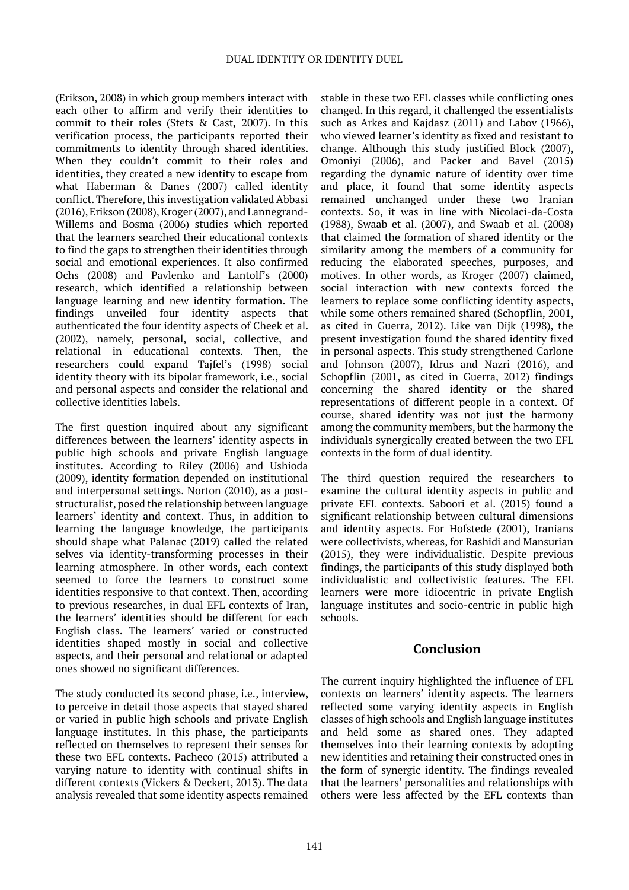(Erikson, 2008) in which group members interact with each other to affirm and verify their identities to commit to their roles (Stets & Cast*,*  2007). In this verification process, the participants reported their commitments to identity through shared identities. When they couldn't commit to their roles and identities, they created a new identity to escape from what Haberman & Danes (2007) called identity conflict. Therefore, this investigation validated Abbasi (2016), Erikson (2008), Kroger (2007), and Lannegrand-Willems and Bosma (2006) studies which reported that the learners searched their educational contexts to find the gaps to strengthen their identities through social and emotional experiences. It also confirmed Ochs (2008) and Pavlenko and Lantolf's (2000) research, which identified a relationship between language learning and new identity formation. The findings unveiled four identity aspects that authenticated the four identity aspects of Cheek et al. (2002), namely, personal, social, collective, and relational in educational contexts. Then, the researchers could expand Tajfel's (1998) social identity theory with its bipolar framework, i.e., social and personal aspects and consider the relational and collective identities labels.

The first question inquired about any significant differences between the learners' identity aspects in public high schools and private English language institutes. According to Riley (2006) and Ushioda (2009), identity formation depended on institutional and interpersonal settings. Norton (2010), as a poststructuralist, posed the relationship between language learners' identity and context. Thus, in addition to learning the language knowledge, the participants should shape what Palanac (2019) called the related selves via identity-transforming processes in their learning atmosphere. In other words, each context seemed to force the learners to construct some identities responsive to that context. Then, according to previous researches, in dual EFL contexts of Iran, the learners' identities should be different for each English class. The learners' varied or constructed identities shaped mostly in social and collective aspects, and their personal and relational or adapted ones showed no significant differences.

The study conducted its second phase, i.e., interview, to perceive in detail those aspects that stayed shared or varied in public high schools and private English language institutes. In this phase, the participants reflected on themselves to represent their senses for these two EFL contexts. Pacheco (2015) attributed a varying nature to identity with continual shifts in different contexts (Vickers & Deckert, 2013). The data analysis revealed that some identity aspects remained

stable in these two EFL classes while conflicting ones changed. In this regard, it challenged the essentialists such as Arkes and Kajdasz (2011) and Labov (1966), who viewed learner's identity as fixed and resistant to change. Although this study justified Block (2007), Omoniyi (2006), and Packer and Bavel (2015) regarding the dynamic nature of identity over time and place, it found that some identity aspects remained unchanged under these two Iranian contexts. So, it was in line with Nicolaci-da-Costa (1988), Swaab et al. (2007), and Swaab et al. (2008) that claimed the formation of shared identity or the similarity among the members of a community for reducing the elaborated speeches, purposes, and motives. In other words, as Kroger (2007) claimed, social interaction with new contexts forced the learners to replace some conflicting identity aspects, while some others remained shared (Schopflin, 2001, as cited in Guerra, 2012). Like van Dijk (1998), the present investigation found the shared identity fixed in personal aspects. This study strengthened Carlone and Johnson (2007), Idrus and Nazri (2016), and Schopflin (2001, as cited in Guerra, 2012) findings concerning the shared identity or the shared representations of different people in a context. Of course, shared identity was not just the harmony among the community members, but the harmony the individuals synergically created between the two EFL contexts in the form of dual identity.

The third question required the researchers to examine the cultural identity aspects in public and private EFL contexts. Saboori et al. (2015) found a significant relationship between cultural dimensions and identity aspects. For Hofstede (2001), Iranians were collectivists, whereas, for Rashidi and Mansurian (2015), they were individualistic. Despite previous findings, the participants of this study displayed both individualistic and collectivistic features. The EFL learners were more idiocentric in private English language institutes and socio-centric in public high schools.

# **Conclusion**

The current inquiry highlighted the influence of EFL contexts on learners' identity aspects. The learners reflected some varying identity aspects in English classes of high schools and English language institutes and held some as shared ones. They adapted themselves into their learning contexts by adopting new identities and retaining their constructed ones in the form of synergic identity. The findings revealed that the learners' personalities and relationships with others were less affected by the EFL contexts than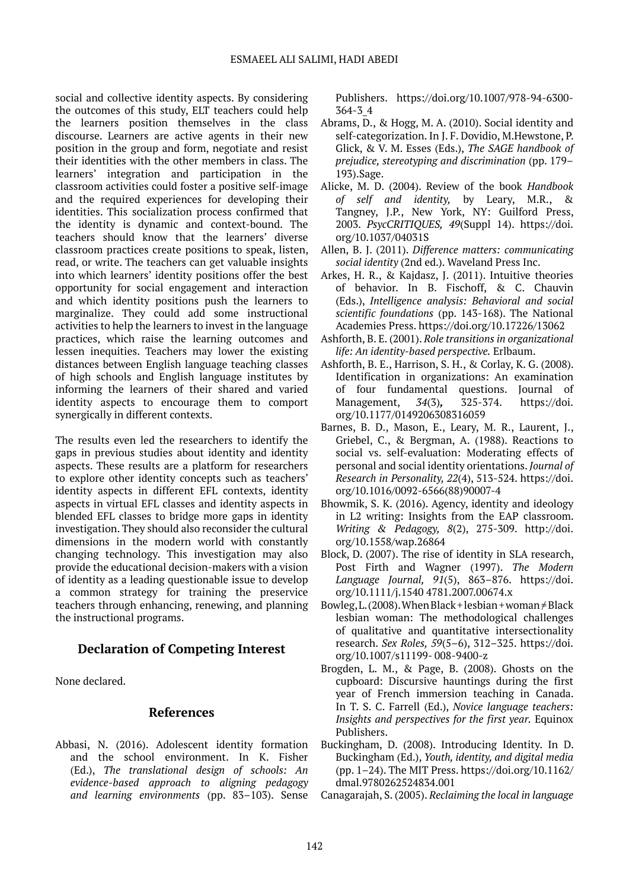social and collective identity aspects. By considering the outcomes of this study, ELT teachers could help the learners position themselves in the class discourse. Learners are active agents in their new position in the group and form, negotiate and resist their identities with the other members in class. The learners' integration and participation in the classroom activities could foster a positive self-image and the required experiences for developing their identities. This socialization process confirmed that the identity is dynamic and context-bound. The teachers should know that the learners' diverse classroom practices create positions to speak, listen, read, or write. The teachers can get valuable insights into which learners' identity positions offer the best opportunity for social engagement and interaction and which identity positions push the learners to marginalize. They could add some instructional activities to help the learners to invest in the language practices, which raise the learning outcomes and lessen inequities. Teachers may lower the existing distances between English language teaching classes of high schools and English language institutes by informing the learners of their shared and varied identity aspects to encourage them to comport synergically in different contexts.

The results even led the researchers to identify the gaps in previous studies about identity and identity aspects. These results are a platform for researchers to explore other identity concepts such as teachers' identity aspects in different EFL contexts, identity aspects in virtual EFL classes and identity aspects in blended EFL classes to bridge more gaps in identity investigation. They should also reconsider the cultural dimensions in the modern world with constantly changing technology. This investigation may also provide the educational decision-makers with a vision of identity as a leading questionable issue to develop a common strategy for training the preservice teachers through enhancing, renewing, and planning the instructional programs.

# **Declaration of Competing Interest**

None declared.

# **References**

Abbasi, N. (2016). Adolescent identity formation and the school environment. In K. Fisher (Ed.), *The translational design of schools: An evidence-based approach to aligning pedagogy*  and learning environments (pp. 83-103). Sense Publishers.  [https://doi.org/10.1007/978-94-6300-](https://doi.org/10.1007/978-94-6300-364-3_4) [364-3\\_4](https://doi.org/10.1007/978-94-6300-364-3_4)

- Abrams, D., & Hogg, M. A. (2010). Social identity and self-categorization. In J. F. Dovidio, M.Hewstone, P. Glick, & V. M. Esses (Eds.), *The SAGE handbook of prejudice, stereotyping and discrimination* (pp. 179– 193).Sage.
- Alicke, M. D. (2004). Review of the book *Handbook of self and identity,* by Leary, M.R., & Tangney, J.P., New York, NY: Guilford Press, 2003. *PsycCRITIQUES, 49*(Suppl 14).  [https://doi.](https://doi.org/10.1037/04031S) [org/10.1037/04031S](https://doi.org/10.1037/04031S)
- Allen, B. J. (2011). *Difference matters: communicating social identity* (2nd ed.). Waveland Press Inc.
- Arkes, H. R., & Kajdasz, J. (2011). Intuitive theories of behavior. In B. Fischoff, & C. Chauvin (Eds.), *Intelligence analysis: Behavioral and social scientific foundations* (pp. 143-168). The National Academies Press.<https://doi.org/10.17226/13062>
- Ashforth, B. E. (2001). *Role transitions in organizational life: An identity-based perspective.* Erlbaum.
- Ashforth, B. E., Harrison, S. H., & Corlay, K. G. (2008). Identification in organizations: An examination of four fundamental questions. Journal of Management, *34*(3)*,* 325-374. [https://doi.](https://doi.org/10.1177%2F0149206308316059) [org/10.1177/0149206308316059](https://doi.org/10.1177%2F0149206308316059)
- Barnes, B. D., Mason, E., Leary, M. R., Laurent, J., Griebel, C., & Bergman, A. (1988). Reactions to social vs. self-evaluation: Moderating effects of personal and social identity orientations. *Journal of Research in Personality, 22*(4), 513-524. [https://doi.](https://doi.org/10.1016/0092-6566(88)90007-4) [org/10.1016/0092-6566\(88\)90007-4](https://doi.org/10.1016/0092-6566(88)90007-4)
- Bhowmik, S. K. (2016). Agency, identity and ideology in L2 writing: Insights from the EAP classroom. *Writing & Pedagogy, 8*(2), 275-309. http://doi. org/10.1558/wap.26864
- Block, D. (2007). The rise of identity in SLA research, Post Firth and Wagner (1997). *The Modern Language Journal, 91*(5), 863–876. [https://doi.](https://doi.org/10.1111/j.1540%204781.2007.00674.x) [org/10.1111/j.1540 4781.2007.00674.x](https://doi.org/10.1111/j.1540%204781.2007.00674.x)
- Bowleg, L. (2008). When Black + lesbian + woman  $\neq$  Black lesbian woman: The methodological challenges of qualitative and quantitative intersectionality research. *Sex Roles, 59*(5–6), 312–325. https://doi. org/10.1007/s11199- 008-9400-z
- Brogden, L. M., & Page, B. (2008). Ghosts on the cupboard: Discursive hauntings during the first year of French immersion teaching in Canada. In T. S. C. Farrell (Ed.), *Novice language teachers: Insights and perspectives for the first year.* Equinox Publishers.
- Buckingham, D. (2008). Introducing Identity. In D. Buckingham (Ed.), *Youth, identity, and digital media* (pp. 1–24). The MIT Press. [https://doi.org/10.1162/](https://doi.org/10.1162/dmal.9780262524834.001) [dmal.9780262524834.001](https://doi.org/10.1162/dmal.9780262524834.001)
- Canagarajah, S. (2005). *Reclaiming the local in language*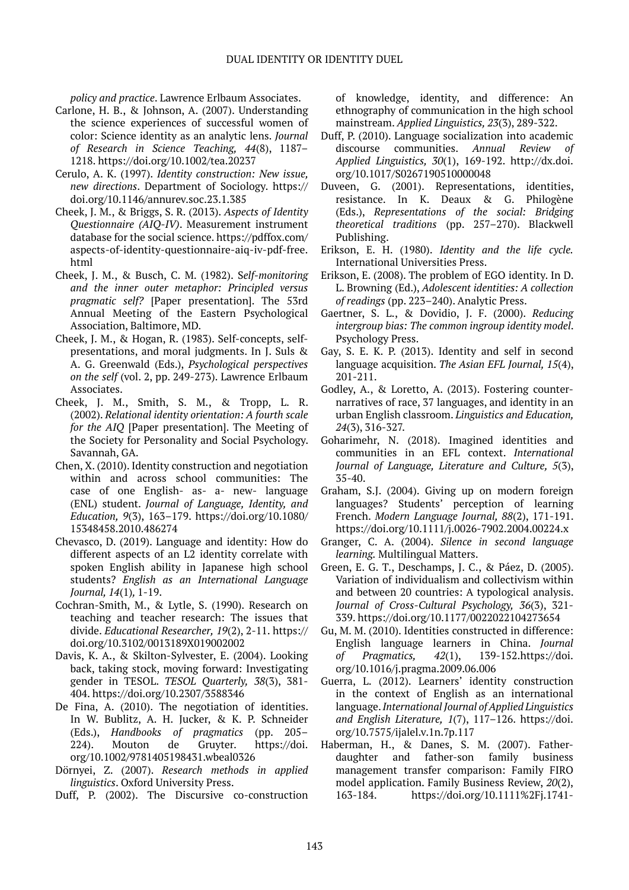*policy and practice*. Lawrence Erlbaum Associates.

- Carlone, H. B., & Johnson, A. (2007). Understanding the science experiences of successful women of color: Science identity as an analytic lens. *Journal of Research in Science Teaching, 44*(8), 1187– 1218. <https://doi.org/10.1002/tea.20237>
- Cerulo, A. K. (1997). *Identity construction: New issue, new directions*. Department of Sociology.  [https://](https://doi.org/10.1146/annurev.soc.23.1.385) [doi.org/10.1146/annurev.soc.23.1.385](https://doi.org/10.1146/annurev.soc.23.1.385)
- Cheek, J. M., & Briggs, S. R. (2013). *Aspects of Identity Questionnaire (AIQ-IV)*. Measurement instrument database for the social science. https://pdffox.com/ aspects-of-identity-questionnaire-aiq-iv-pdf-free. html
- Cheek, J. M., & Busch, C. M. (1982). S*elf-monitoring and the inner outer metaphor: Principled versus pragmatic self?* [Paper presentation]. The 53rd Annual Meeting of the Eastern Psychological Association, Baltimore, MD.
- Cheek, J. M., & Hogan, R. (1983). Self-concepts, selfpresentations, and moral judgments. In J. Suls & A. G. Greenwald (Eds.), *Psychological perspectives on the self* (vol. 2, pp. 249-273). Lawrence Erlbaum Associates.
- Cheek, J. M., Smith, S. M., & Tropp, L. R. (2002). *Relational identity orientation: A fourth scale for the AIQ* [Paper presentation]. The Meeting of the Society for Personality and Social Psychology. Savannah, GA.
- Chen, X. (2010). Identity construction and negotiation within and across school communities: The case of one English- as- a- new- language (ENL) student. *Journal of Language, Identity, and Education, 9*(3), 163–179.  [https://doi.org/10.1080/](https://doi.org/10.1080/15348458.2010.486274) [15348458.2010.486274](https://doi.org/10.1080/15348458.2010.486274)
- Chevasco, D. (2019). Language and identity: How do different aspects of an L2 identity correlate with spoken English ability in Japanese high school students? *English as an International Language Journal, 14*(1)*,* 1-19.
- Cochran-Smith, M., & Lytle, S. (1990). Research on teaching and teacher research: The issues that divide. *Educational Researcher, 19*(2), 2-11. [https://](https://doi.org/10.3102/0013189X019002002) [doi.org/10.3102/0013189X019002002](https://doi.org/10.3102/0013189X019002002)
- Davis, K. A., & Skilton-Sylvester, E. (2004). Looking back, taking stock, moving forward: Investigating gender in TESOL. *TESOL Quarterly, 38*(3), 381- 404.<https://doi.org/10.2307/3588346>
- De Fina, A. (2010). The negotiation of identities. In W. Bublitz, A. H. Jucker, & K. P. Schneider (Eds.), *Handbooks of pragmatics* (pp. 205– 224). Mouton de Gruyter.  [https://doi.](https://doi.org/10.1002/9781405198431.wbeal0326) [org/10.1002/9781405198431.wbeal0326](https://doi.org/10.1002/9781405198431.wbeal0326)
- Dörnyei, Z. (2007). *Research methods in applied linguistics*. Oxford University Press.
- Duff, P. (2002). The Discursive co-construction

of knowledge, identity, and difference: An ethnography of communication in the high school mainstream. *Applied Linguistics, 23*(3), 289-322.

- Duff, P. (2010). Language socialization into academic discourse communities. *Annual Review of Applied Linguistics, 30*(1), 169-192. http://dx.doi. org/10.1017/S0267190510000048
- Duveen, G. (2001). Representations, identities, resistance. In K. Deaux & G. Philogène (Eds.), *Representations of the social: Bridging theoretical traditions* (pp. 257–270). Blackwell Publishing.
- Erikson, E. H. (1980). *Identity and the life cycle.* International Universities Press.
- Erikson, E. (2008). The problem of EGO identity. In D. L. Browning (Ed.), *Adolescent identities: A collection of readings* (pp. 223–240). Analytic Press.
- Gaertner, S. L., & Dovidio, J. F. (2000). *Reducing intergroup bias: The common ingroup identity model*. Psychology Press.
- Gay, S. E. K. P. (2013). Identity and self in second language acquisition. *The Asian EFL Journal, 15*(4), 201-211.
- Godley, A., & Loretto, A. (2013). Fostering counternarratives of race, 37 languages, and identity in an urban English classroom. *Linguistics and Education, 24*(3), 316-327.
- Goharimehr, N. (2018). Imagined identities and communities in an EFL context. *International Journal of Language, Literature and Culture, 5*(3), 35-40.
- Graham, S.J. (2004). Giving up on modern foreign languages? Students' perception of learning French. *Modern Language Journal, 88*(2), 171-191. https://doi.org/10.1111/j.0026-7902.2004.00224.x
- Granger, C. A. (2004). *Silence in second language learning.* Multilingual Matters.
- Green, E. G. T., Deschamps, J. C., & Páez, D. (2005). Variation of individualism and collectivism within and between 20 countries: A typological analysis. *Journal of Cross-Cultural Psychology, 36*(3), 321- 339. <https://doi.org/10.1177/0022022104273654>
- Gu, M. M. (2010). Identities constructed in difference: English language learners in China. *Journal of Pragmatics, 42*(1), 139-152.[https://doi.](https://doi.org/10.1016/j.pragma.2009.06.006) [org/10.1016/j.pragma.2009.06.006](https://doi.org/10.1016/j.pragma.2009.06.006)
- Guerra, L. (2012). Learners' identity construction in the context of English as an international language. *International Journal of Applied Linguistics and English Literature, 1*(7), 117–126.  [https://doi.](https://doi.org/10.7575/ijalel.v.1n.7p.117) [org/10.7575/ijalel.v.1n.7p.117](https://doi.org/10.7575/ijalel.v.1n.7p.117)
- Haberman, H., & Danes, S. M. (2007). Fatherdaughter and father-son family business management transfer comparison: Family FIRO model application. Family Business Review, *20*(2), 163-184. https://doi.org/10.1111%2Fj.1741-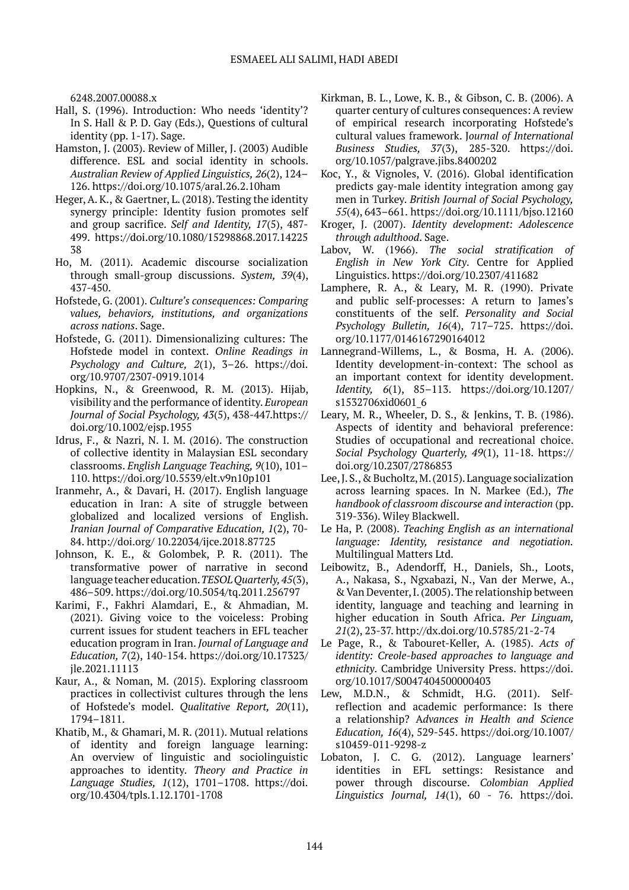6248.2007.00088.x

- Hall, S. (1996). Introduction: Who needs 'identity'? In S. Hall & P. D. Gay (Eds.), Questions of cultural identity (pp. 1-17). Sage.
- Hamston, J. (2003). Review of Miller, J. (2003) Audible difference. ESL and social identity in schools. *Australian Review of Applied Linguistics, 26*(2), 124– 126.<https://doi.org/10.1075/aral.26.2.10ham>
- Heger, A. K., & Gaertner, L. (2018). Testing the identity synergy principle: Identity fusion promotes self and group sacrifice. *Self and Identity, 17*(5), 487- 499. [https://doi.org/10.1080/15298868.2017.14225](https://doi.org/10.1080/15298868.2017.1422538) [38](https://doi.org/10.1080/15298868.2017.1422538)
- Ho, M. (2011). Academic discourse socialization through small-group discussions. *System, 39*(4), 437-450.
- Hofstede, G. (2001). *Culture's consequences: Comparing values, behaviors, institutions, and organizations across nations*. Sage.
- Hofstede, G. (2011). Dimensionalizing cultures: The Hofstede model in context. *Online Readings in Psychology and Culture, 2*(1), 3–26.  [https://doi.](https://doi.org/10.9707/2307-0919.1014) [org/10.9707/2307-0919.1014](https://doi.org/10.9707/2307-0919.1014)
- Hopkins, N., & Greenwood, R. M. (2013). Hijab, visibility and the performance of identity. *European Journal of Social Psychology, 43*(5), 438-447[.https://](https://doi.org/10.1002/ejsp.1955) [doi.org/10.1002/ejsp.1955](https://doi.org/10.1002/ejsp.1955)
- Idrus, F., & Nazri, N. I. M. (2016). The construction of collective identity in Malaysian ESL secondary classrooms. *English Language Teaching, 9*(10), 101– 110.<https://doi.org/10.5539/elt.v9n10p101>
- Iranmehr, A., & Davari, H. (2017). English language education in Iran: A site of struggle between globalized and localized versions of English. *Iranian Journal of Comparative Education, 1*(2), 70- 84. http://doi.org/ 10.22034/ijce.2018.87725
- Johnson, K. E., & Golombek, P. R. (2011). The transformative power of narrative in second language teacher education. *TESOL Quarterly,45*(3), 486–509. <https://doi.org/10.5054/tq.2011.256797>
- Karimi, F., Fakhri Alamdari, E., & Ahmadian, M. (2021). Giving voice to the voiceless: Probing current issues for student teachers in EFL teacher education program in Iran. *Journal of Language and Education, 7*(2), 140-154. https://doi.org/10.17323/ jle.2021.11113
- Kaur, A., & Noman, M. (2015). Exploring classroom practices in collectivist cultures through the lens of Hofstede's model. *Qualitative Report, 20*(11), 1794–1811.
- Khatib, M., & Ghamari, M. R. (2011). Mutual relations of identity and foreign language learning: An overview of linguistic and sociolinguistic approaches to identity. *Theory and Practice in Language Studies, 1*(12), 1701–1708.  [https://doi.](https://doi.org/10.4304/tpls.1.12.1701-1708) [org/10.4304/tpls.1.12.1701-1708](https://doi.org/10.4304/tpls.1.12.1701-1708)
- Kirkman, B. L., Lowe, K. B., & Gibson, C. B. (2006). A quarter century of cultures consequences: A review of empirical research incorporating Hofstede's cultural values framework. J*ournal of International Business Studies, 37*(3), 285-320. https://doi. org/10.1057/palgrave.jibs.8400202
- Koc, Y., & Vignoles, V. (2016). Global identification predicts gay-male identity integration among gay men in Turkey. *British Journal of Social Psychology, 55*(4), 643–661. https://doi.org/10.1111/bjso.12160
- Kroger, J. (2007). *Identity development: Adolescence through adulthood*. Sage.
- Labov, W. (1966). *The social stratification of English in New York City*. Centre for Applied Linguistics.<https://doi.org/10.2307/411682>
- Lamphere, R. A., & Leary, M. R. (1990). Private and public self-processes: A return to James's constituents of the self. *Personality and Social Psychology Bulletin, 16*(4), 717–725. [https://doi.](https://doi.org/10.1177%2F0146167290164012) [org/10.1177/0146167290164012](https://doi.org/10.1177%2F0146167290164012)
- Lannegrand-Willems, L., & Bosma, H. A. (2006). Identity development-in-context: The school as an important context for identity development. *Identity, 6*(1), 85–113.  [https://doi.org/10.1207/](https://doi.org/10.1207/s1532706xid0601_6) [s1532706xid0601\\_6](https://doi.org/10.1207/s1532706xid0601_6)
- Leary, M. R., Wheeler, D. S., & Jenkins, T. B. (1986). Aspects of identity and behavioral preference: Studies of occupational and recreational choice. *Social Psychology Quarterly, 49*(1), 11-18. [https://](https://doi.org/10.2307/2786853) [doi.org/10.2307/2786853](https://doi.org/10.2307/2786853)
- Lee, J. S., & Bucholtz, M. (2015). Language socialization across learning spaces. In N. Markee (Ed.), *The handbook of classroom discourse and interaction* (pp. 319-336). Wiley Blackwell.
- Le Ha, P. (2008). *Teaching English as an international language: Identity, resistance and negotiation.* Multilingual Matters Ltd.
- Leibowitz, B., Adendorff, H., Daniels, Sh., Loots, A., Nakasa, S., Ngxabazi, N., Van der Merwe, A., & Van Deventer, I. (2005). The relationship between identity, language and teaching and learning in higher education in South Africa. *Per Linguam, 21*(2), 23-37. http://dx.doi.org/10.5785/21-2-74
- Le Page, R., & Tabouret-Keller, A. (1985). *Acts of identity: Creole-based approaches to language and ethnicity*. Cambridge University Press.  [https://doi.](https://doi.org/10.1017/S0047404500000403) [org/10.1017/S0047404500000403](https://doi.org/10.1017/S0047404500000403)
- Lew, M.D.N., & Schmidt, H.G. (2011). Selfreflection and academic performance: Is there a relationship? A*dvances in Health and Science Education, 16*(4), 529-545. https://doi.org/10.1007/ s10459-011-9298-z
- Lobaton, J. C. G. (2012). Language learners' identities in EFL settings: Resistance and power through discourse. *Colombian Applied Linguistics Journal, 14*(1), 60 - 76. https://doi.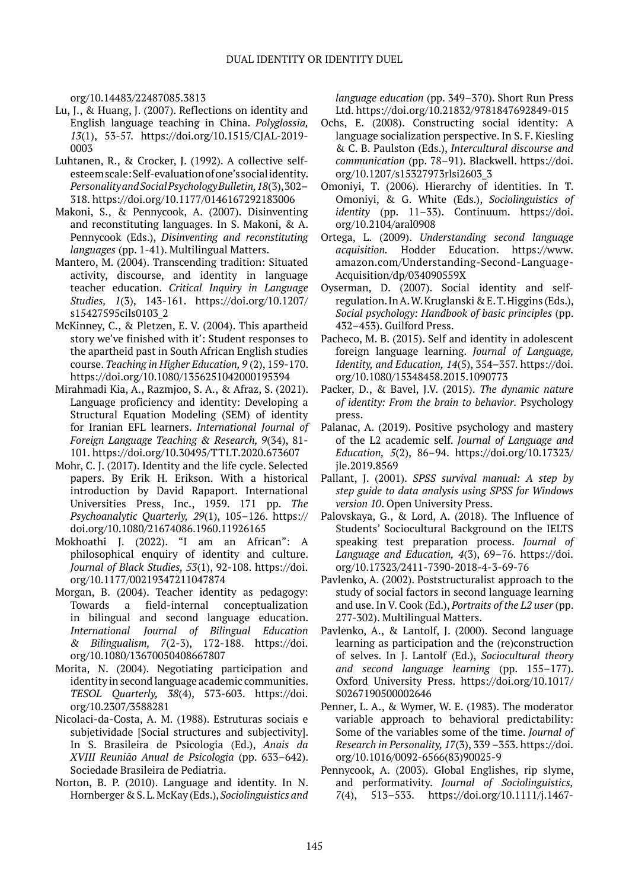org/10.14483/22487085.3813

- Lu, J., & Huang, J. (2007). Reflections on identity and English language teaching in China. *Polyglossia, 13*(1), 53-57. https://doi.org/10.1515/CJAL-2019- 0003
- Luhtanen, R., & Crocker, J. (1992). A collective selfesteem scale: Self-evaluation of one's social identity. *Personality and Social Psychology Bulletin, 18*(3), 302– 318. [https://doi.org/10.1177/0146167292183006](https://doi.org/10.1177%2F0146167292183006)
- Makoni, S., & Pennycook, A. (2007). Disinventing and reconstituting languages. In S. Makoni, & A. Pennycook (Eds.), *Disinventing and reconstituting languages* (pp. 1-41). Multilingual Matters.
- Mantero, M. (2004). Transcending tradition: Situated activity, discourse, and identity in language teacher education. *Critical Inquiry in Language Studies, 1*(3), 143-161. [https://doi.org/10.1207/](https://doi.org/10.1207/s15427595cils0103_2) [s15427595cils0103\\_2](https://doi.org/10.1207/s15427595cils0103_2)
- McKinney, C., & Pletzen, E. V. (2004). This apartheid story we've finished with it': Student responses to the apartheid past in South African English studies course. *Teaching in Higher Education, 9* (2), 159-170. https://doi.org/[10.1080/1356251042000195394](http://dx.doi.org/10.1080/1356251042000195394)
- Mirahmadi Kia, A., Razmjoo, S. A., & Afraz, S. (2021). Language proficiency and identity: Developing a Structural Equation Modeling (SEM) of identity for Iranian EFL learners. *International Journal of Foreign Language Teaching & Research, 9*(34), 81- 101. https://doi.org/[10.30495/TTLT.2020.673607](https://dx.doi.org/10.30495/ttlt.2020.673607)
- Mohr, C. J. (2017). Identity and the life cycle. Selected papers. By Erik H. Erikson. With a historical introduction by David Rapaport. International Universities Press, Inc., 1959. 171 pp. *The Psychoanalytic Quarterly, 29*(1), 105–126.  [https://](https://doi.org/10.1080/21674086.1960.11926165) [doi.org/10.1080/21674086.1960.11926165](https://doi.org/10.1080/21674086.1960.11926165)
- Mokhoathi J. (2022). "I am an African": A philosophical enquiry of identity and culture. *Journal of Black Studies, 53*(1), 92-108. https://doi. org/[10.1177/00219347211047874](https://doi.org/10.1177/00219347211047874)
- Morgan, B. (2004). Teacher identity as pedagogy: Towards a field-internal conceptualization in bilingual and second language education. *International Journal of Bilingual Education & Bilingualism, 7*(2-3), 172-188. https://doi. org/[10.1080/13670050408667807](http://dx.doi.org/10.1080/13670050408667807)
- Morita, N. (2004). Negotiating participation and identity in second language academic communities. *TESOL Quarterly, 38*(4), 573-603. https://doi. org/10.2307/3588281
- Nicolaci-da-Costa, A. M. (1988). Estruturas sociais e subjetividade [Social structures and subjectivity]. In S. Brasileira de Psicologia (Ed.), *Anais da XVIII Reunião Anual de Psicologia* (pp. 633–642). Sociedade Brasileira de Pediatria.
- Norton, B. P. (2010). Language and identity. In N. Hornberger & S. L. McKay (Eds.), *Sociolinguistics and*

*language education* (pp. 349–370). Short Run Press Ltd.<https://doi.org/10.21832/9781847692849-015>

- Ochs, E. (2008). Constructing social identity: A language socialization perspective. In S. F. Kiesling & C. B. Paulston (Eds.), *Intercultural discourse and communication* (pp. 78–91). Blackwell. [https://doi.](https://doi.org/10.1207/s15327973rlsi2603_3) [org/10.1207/s15327973rlsi2603\\_3](https://doi.org/10.1207/s15327973rlsi2603_3)
- Omoniyi, T. (2006). Hierarchy of identities. In T. Omoniyi, & G. White (Eds.), *Sociolinguistics of identity* (pp. 11–33). Continuum.  [https://doi.](https://doi.org/10.2104/aral0908) [org/10.2104/aral0908](https://doi.org/10.2104/aral0908)
- Ortega, L. (2009). *Understanding second language acquisition.* Hodder Education. [https://www.](https://www.amazon.com/Understanding-Second-Language-Acquisition/dp/034090559X) [amazon.com/Understanding-Second-Language-](https://www.amazon.com/Understanding-Second-Language-Acquisition/dp/034090559X)[Acquisition/dp/034090559X](https://www.amazon.com/Understanding-Second-Language-Acquisition/dp/034090559X)
- Oyserman, D. (2007). Social identity and selfregulation. In A. W. Kruglanski & E. T. Higgins (Eds.), *Social psychology: Handbook of basic principles* (pp. 432–453). Guilford Press.
- Pacheco, M. B. (2015). Self and identity in adolescent foreign language learning. *Journal of Language, Identity, and Education, 14*(5), 354–357. [https://doi.](https://doi.org/10.1080/15348458.2015.1090773) [org/10.1080/15348458.2015.1090773](https://doi.org/10.1080/15348458.2015.1090773)
- Packer, D., & Bavel, J.V. (2015). *The dynamic nature of identity: From the brain to behavior.* Psychology press.
- Palanac, A. (2019). Positive psychology and mastery of the L2 academic self. *Journal of Language and Education, 5*(2), 86–94. [https://doi.org/10.17323/](https://doi.org/10.17323/jle.2019.8569) [jle.2019.8569](https://doi.org/10.17323/jle.2019.8569)
- Pallant, J. (2001). *SPSS survival manual: A step by step guide to data analysis using SPSS for Windows version 10*. Open University Press.
- Palovskaya, G., & Lord, A. (2018). The Influence of Students' Sociocultural Background on the IELTS speaking test preparation process. *Journal of Language and Education, 4*(3), 69–76. [https://doi.](https://doi.org/10.17323/2411-7390-2018-4-3-69-76) [org/10.17323/2411-7390-2018-4-3-69-76](https://doi.org/10.17323/2411-7390-2018-4-3-69-76)
- Pavlenko, A. (2002). Poststructuralist approach to the study of social factors in second language learning and use. In V. Cook (Ed.), *Portraits of the L2 user* (pp. 277-302). Multilingual Matters.
- Pavlenko, A., & Lantolf, J. (2000). Second language learning as participation and the (re)construction of selves. In J. Lantolf (Ed.), *Sociocultural theory and second language learning* (pp. 155–177). Oxford University Press. [https://doi.org/10.1017/](https://doi.org/10.1017/S0267190500002646) [S0267190500002646](https://doi.org/10.1017/S0267190500002646)
- Penner, L. A., & Wymer, W. E. (1983). The moderator variable approach to behavioral predictability: Some of the variables some of the time. *Journal of Research in Personality, 17*(3), 339 –353. [https://doi.](https://doi.org/10.1016/0092-6566(83)90025-9) [org/10.1016/0092-6566\(83\)90025-9](https://doi.org/10.1016/0092-6566(83)90025-9)
- Pennycook, A. (2003). Global Englishes, rip slyme, and performativity. *Journal of Sociolinguistics, 7*(4), 513–533.  [https://doi.org/10.1111/j.1467-](https://doi.org/10.1111/j.1467-9841.2003.00240.x)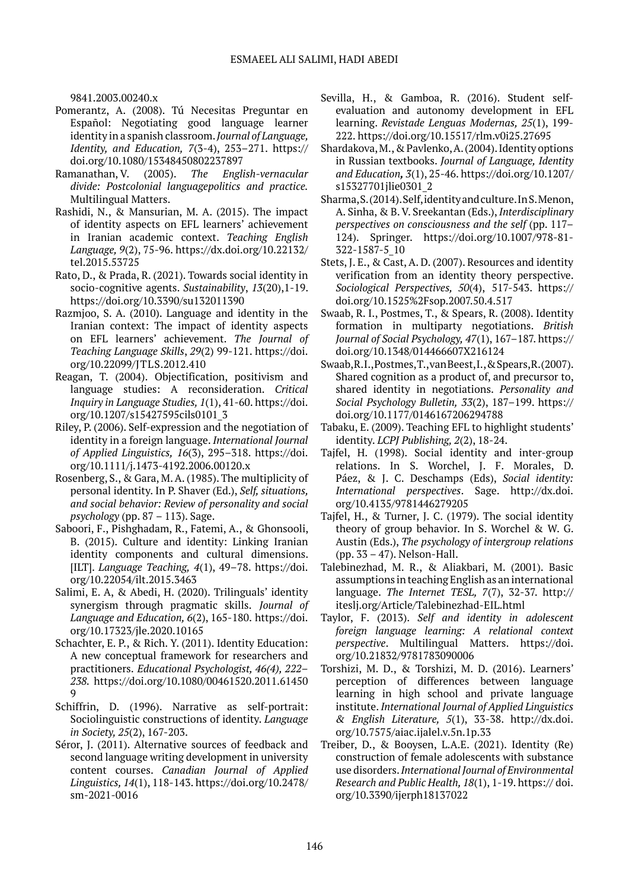[9841.2003.00240.x](https://doi.org/10.1111/j.1467-9841.2003.00240.x)

- Pomerantz, A. (2008). Tú Necesitas Preguntar en Español: Negotiating good language learner identity in a spanish classroom. *Journal of Language, Identity, and Education, 7*(3-4), 253–271.  [https://](https://doi.org/10.1080/15348450802237897) [doi.org/10.1080/15348450802237897](https://doi.org/10.1080/15348450802237897)
- Ramanathan, V. (2005). *The English-vernacular divide: Postcolonial languagepolitics and practice.* Multilingual Matters.
- Rashidi, N., & Mansurian, M. A. (2015). The impact of identity aspects on EFL learners' achievement in Iranian academic context. *Teaching English Language, 9*(2), 75-96. https://dx.doi.org/10.22132/ tel.2015.53725
- Rato, D., & Prada, R. (2021). Towards social identity in socio-cognitive agents. *Sustainability*, *13*(20),1-19. https://doi.org/10.3390/su132011390
- Razmjoo, S. A. (2010). Language and identity in the Iranian context: The impact of identity aspects on EFL learners' achievement. *The Journal of Teaching Language Skills*, *29*(2) 99-121. https://doi. org/[10.22099/JTLS.2012.410](https://dx.doi.org/10.22099/jtls.2012.410)
- Reagan, T. (2004). Objectification, positivism and language studies: A reconsideration. *Critical Inquiry in Language Studies, 1*(1), 41-60. [https://doi.](https://doi.org/10.1207/s15427595cils0101_3) [org/10.1207/s15427595cils0101\\_3](https://doi.org/10.1207/s15427595cils0101_3)
- Riley, P. (2006). Self-expression and the negotiation of identity in a foreign language. *International Journal of Applied Linguistics, 16*(3), 295–318.  [https://doi.](https://doi.org/10.1111/j.1473-4192.2006.00120.x) [org/10.1111/j.1473-4192.2006.00120.x](https://doi.org/10.1111/j.1473-4192.2006.00120.x)
- Rosenberg, S., & Gara, M. A. (1985). The multiplicity of personal identity. In P. Shaver (Ed.), *Self, situations, and social behavior: Review of personality and social psychology* (pp. 87 – 113). Sage.
- Saboori, F., Pishghadam, R., Fatemi, A., & Ghonsooli, B. (2015). Culture and identity: Linking Iranian identity components and cultural dimensions. [ILT]. *Language Teaching, 4*(1), 49–78. [https://doi.](https://doi.org/10.22054/ILT.2015.3463) [org/10.22054/ilt.2015.3463](https://doi.org/10.22054/ILT.2015.3463)
- Salimi, E. A, & Abedi, H. (2020). Trilinguals' identity synergism through pragmatic skills. *Journal of Language and Education, 6*(2), 165-180. https://doi. org/10.17323/jle.2020.10165
- Schachter, E. P., & Rich. Y. (2011). Identity Education: A new conceptual framework for researchers and practitioners. *Educational Psychologist, 46(4), 222– 238.* https://doi.org/10.1080/00461520.2011.61450 9
- Schiffrin, D. (1996). Narrative as self-portrait: Sociolinguistic constructions of identity. *Language in Society, 25*(2), 167-203.
- Séror, J. (2011). Alternative sources of feedback and second language writing development in university content courses. *Canadian Journal of Applied Linguistics, 14*(1), 118-143. [https://doi.org/10.2478/](https://doi.org/10.2478/sm-2021-0016) [sm-2021-0016](https://doi.org/10.2478/sm-2021-0016)
- Sevilla, H., & Gamboa, R. (2016). Student selfevaluation and autonomy development in EFL learning. *Revistade Lenguas Modernas, 25*(1), 199- 222. https://doi.org/10.15517/rlm.v0i25.27695
- Shardakova, M., & Pavlenko, A. (2004). Identity options in Russian textbooks. *Journal of Language, Identity and Education, 3*(1), 25-46. https://doi.org/[10.1207/](http://dx.doi.org/10.1207/s15327701jlie0301_2) [s15327701jlie0301\\_2](http://dx.doi.org/10.1207/s15327701jlie0301_2)
- Sharma, S. (2014). Self, identity and culture. In S. Menon, A. Sinha, & B. V. Sreekantan (Eds.), *Interdisciplinary perspectives on consciousness and the self* (pp. 117– 124). Springer. [https://doi.org/10.1007/978-81-](https://doi.org/10.1007/978-81-322-1587-5_10) [322-1587-5\\_10](https://doi.org/10.1007/978-81-322-1587-5_10)
- Stets, J. E., & Cast, A. D. (2007). Resources and identity verification from an identity theory perspective. *Sociological Perspectives, 50*(4), 517-543. https:// doi.org/10.1525%2Fsop.2007.50.4.517
- Swaab, R. I., Postmes, T., & Spears, R. (2008). Identity formation in multiparty negotiations. *British Journal of Social Psychology, 47*(1), 167–187. [https://](https://doi.org/10.1348/014466607X216124) [doi.org/10.1348/014466607X216124](https://doi.org/10.1348/014466607X216124)
- Swaab, R. I., Postmes, T., van Beest, I., & Spears, R. (2007). Shared cognition as a product of, and precursor to, shared identity in negotiations. *Personality and Social Psychology Bulletin, 33*(2), 187–199.  [https://](https://doi.org/10.1177/0146167206294788) [doi.org/10.1177/0146167206294788](https://doi.org/10.1177/0146167206294788)
- Tabaku, E. (2009). Teaching EFL to highlight students' identity. *LCPJ Publishing, 2*(2), 18-24.
- Tajfel, H. (1998). Social identity and inter-group relations. In S. Worchel, J. F. Morales, D. Páez, & J. C. Deschamps (Eds), *Social identity: International perspectives*. Sage. [http://dx.doi.](http://dx.doi.org/10.4135/9781446279205) [org/10.4135/9781446279205](http://dx.doi.org/10.4135/9781446279205)
- Tajfel, H., & Turner, J. C. (1979). The social identity theory of group behavior. In S. Worchel & W. G. Austin (Eds.), *The psychology of intergroup relations* (pp. 33 – 47). Nelson-Hall.
- Talebinezhad, M. R., & Aliakbari, M. (2001). Basic assumptions in teaching English as an international language. *The Internet TESL, 7*(7), 32-37. [http://](http://iteslj.org/Article/Talebinezhad-EIL.html) [iteslj.org/Article/Talebinezhad-EIL.html](http://iteslj.org/Article/Talebinezhad-EIL.html)
- Taylor, F. (2013). *Self and identity in adolescent foreign language learning: A relational context perspective*. Multilingual Matters.  [https://doi.](https://doi.org/10.21832/9781783090006) [org/10.21832/9781783090006](https://doi.org/10.21832/9781783090006)
- Torshizi, M. D., & Torshizi, M. D. (2016). Learners' perception of differences between language learning in high school and private language institute. *International Journal of Applied Linguistics & English Literature, 5*(1), 33-38. [http://dx.doi.](http://dx.doi.org/10.7575/aiac.ijalel.v.5n.1p.33) [org/10.7575/aiac.ijalel.v.5n.1p.33](http://dx.doi.org/10.7575/aiac.ijalel.v.5n.1p.33)
- Treiber, D., & Booysen, L.A.E. (2021). Identity (Re) construction of female adolescents with substance use disorders. *International Journal of Environmental Research and Public Health, 18*(1), 1-19. https:// doi. org/10.3390/ijerph18137022